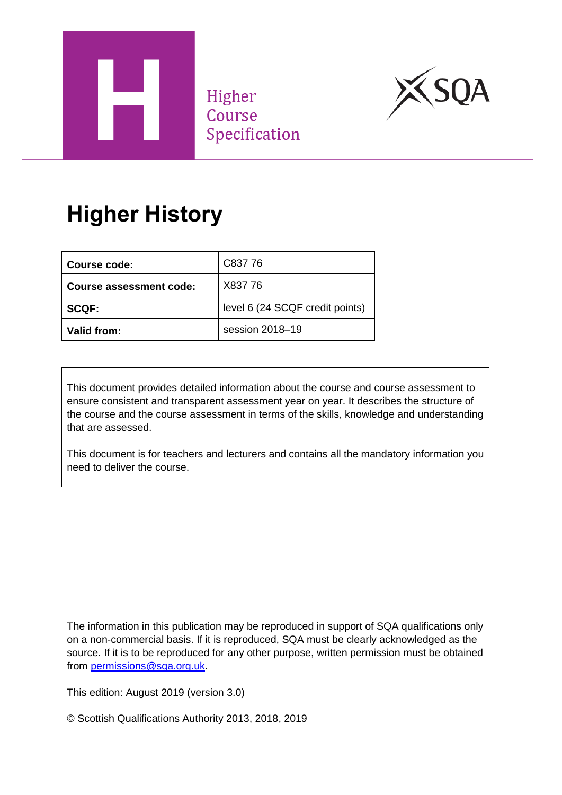

Higher Course Specification



# **Higher History**

| Course code:                   | C837 76                         |
|--------------------------------|---------------------------------|
| <b>Course assessment code:</b> | X837 76                         |
| <b>SCQF:</b>                   | level 6 (24 SCQF credit points) |
| Valid from:                    | session 2018-19                 |

This document provides detailed information about the course and course assessment to ensure consistent and transparent assessment year on year. It describes the structure of the course and the course assessment in terms of the skills, knowledge and understanding that are assessed.

This document is for teachers and lecturers and contains all the mandatory information you need to deliver the course.

The information in this publication may be reproduced in support of SQA qualifications only on a non-commercial basis. If it is reproduced, SQA must be clearly acknowledged as the source. If it is to be reproduced for any other purpose, written permission must be obtained from [permissions@sqa.org.uk.](mailto:permissions@sqa.org.uk)

This edition: August 2019 (version 3.0)

© Scottish Qualifications Authority 2013, 2018, 2019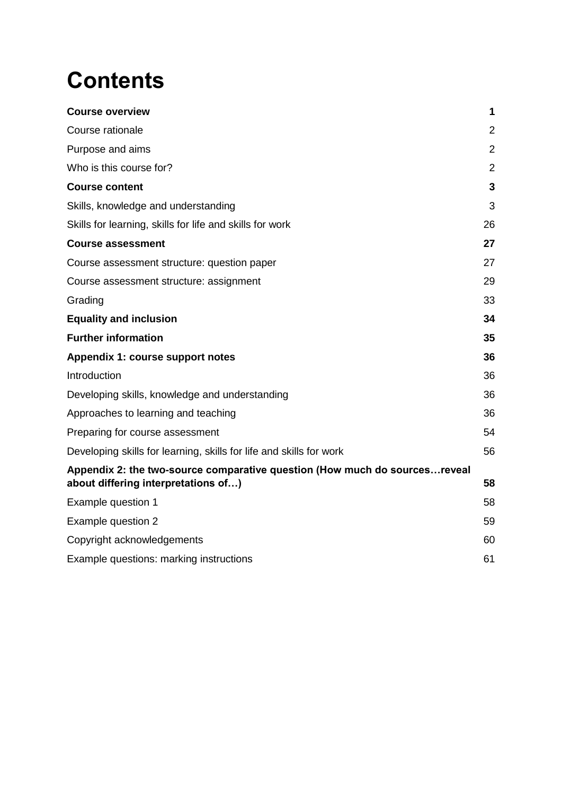# **Contents**

| <b>Course overview</b>                                                                                            | 1              |
|-------------------------------------------------------------------------------------------------------------------|----------------|
| Course rationale                                                                                                  | $\overline{2}$ |
| Purpose and aims                                                                                                  | $\overline{2}$ |
| Who is this course for?                                                                                           | $\overline{2}$ |
| <b>Course content</b>                                                                                             | 3              |
| Skills, knowledge and understanding                                                                               | 3              |
| Skills for learning, skills for life and skills for work                                                          | 26             |
| <b>Course assessment</b>                                                                                          | 27             |
| Course assessment structure: question paper                                                                       | 27             |
| Course assessment structure: assignment                                                                           | 29             |
| Grading                                                                                                           | 33             |
| <b>Equality and inclusion</b>                                                                                     | 34             |
| <b>Further information</b>                                                                                        | 35             |
| Appendix 1: course support notes                                                                                  | 36             |
| Introduction                                                                                                      | 36             |
| Developing skills, knowledge and understanding                                                                    | 36             |
| Approaches to learning and teaching                                                                               | 36             |
| Preparing for course assessment                                                                                   | 54             |
| Developing skills for learning, skills for life and skills for work                                               | 56             |
| Appendix 2: the two-source comparative question (How much do sourcesreveal<br>about differing interpretations of) | 58             |
| Example question 1                                                                                                | 58             |
| Example question 2                                                                                                | 59             |
| Copyright acknowledgements                                                                                        | 60             |
| Example questions: marking instructions                                                                           | 61             |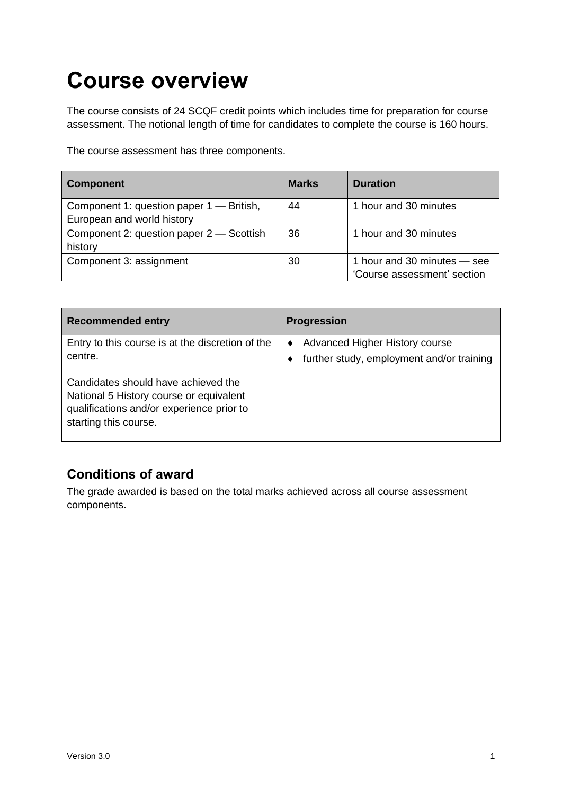# <span id="page-2-0"></span>**Course overview**

The course consists of 24 SCQF credit points which includes time for preparation for course assessment. The notional length of time for candidates to complete the course is 160 hours.

The course assessment has three components.

| <b>Component</b>                                                       | <b>Marks</b> | <b>Duration</b>                                            |
|------------------------------------------------------------------------|--------------|------------------------------------------------------------|
| Component 1: question paper 1 - British,<br>European and world history | 44           | 1 hour and 30 minutes                                      |
| Component 2: question paper 2 – Scottish<br>history                    | 36           | 1 hour and 30 minutes                                      |
| Component 3: assignment                                                | 30           | 1 hour and 30 minutes – see<br>'Course assessment' section |

| <b>Recommended entry</b>                                                                                                                             | <b>Progression</b>                                                                 |
|------------------------------------------------------------------------------------------------------------------------------------------------------|------------------------------------------------------------------------------------|
| Entry to this course is at the discretion of the<br>centre.                                                                                          | <b>Advanced Higher History course</b><br>further study, employment and/or training |
| Candidates should have achieved the<br>National 5 History course or equivalent<br>qualifications and/or experience prior to<br>starting this course. |                                                                                    |

#### **Conditions of award**

The grade awarded is based on the total marks achieved across all course assessment components.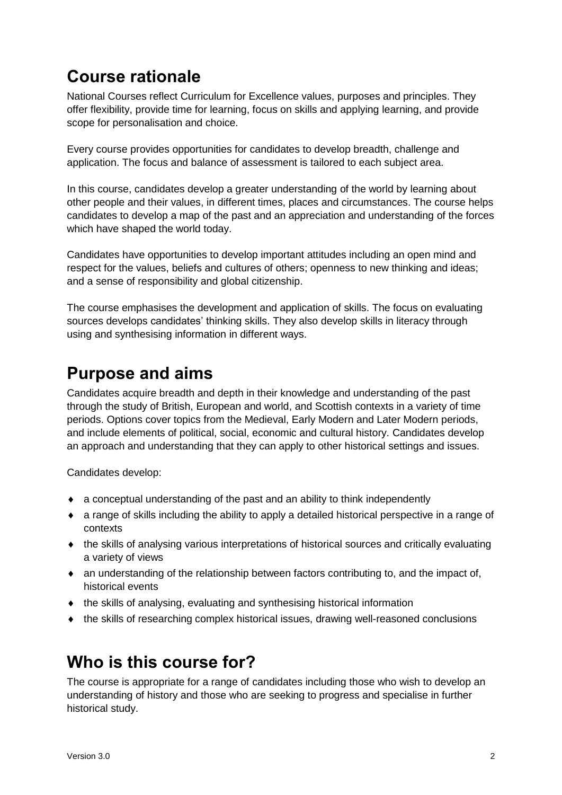### <span id="page-3-0"></span>**Course rationale**

National Courses reflect Curriculum for Excellence values, purposes and principles. They offer flexibility, provide time for learning, focus on skills and applying learning, and provide scope for personalisation and choice.

Every course provides opportunities for candidates to develop breadth, challenge and application. The focus and balance of assessment is tailored to each subject area.

In this course, candidates develop a greater understanding of the world by learning about other people and their values, in different times, places and circumstances. The course helps candidates to develop a map of the past and an appreciation and understanding of the forces which have shaped the world today.

Candidates have opportunities to develop important attitudes including an open mind and respect for the values, beliefs and cultures of others; openness to new thinking and ideas; and a sense of responsibility and global citizenship.

The course emphasises the development and application of skills. The focus on evaluating sources develops candidates' thinking skills. They also develop skills in literacy through using and synthesising information in different ways.

### <span id="page-3-1"></span>**Purpose and aims**

Candidates acquire breadth and depth in their knowledge and understanding of the past through the study of British, European and world, and Scottish contexts in a variety of time periods. Options cover topics from the Medieval, Early Modern and Later Modern periods, and include elements of political, social, economic and cultural history. Candidates develop an approach and understanding that they can apply to other historical settings and issues.

Candidates develop:

- a conceptual understanding of the past and an ability to think independently
- a range of skills including the ability to apply a detailed historical perspective in a range of contexts
- the skills of analysing various interpretations of historical sources and critically evaluating a variety of views
- an understanding of the relationship between factors contributing to, and the impact of, historical events
- the skills of analysing, evaluating and synthesising historical information
- the skills of researching complex historical issues, drawing well-reasoned conclusions

### <span id="page-3-2"></span>**Who is this course for?**

The course is appropriate for a range of candidates including those who wish to develop an understanding of history and those who are seeking to progress and specialise in further historical study.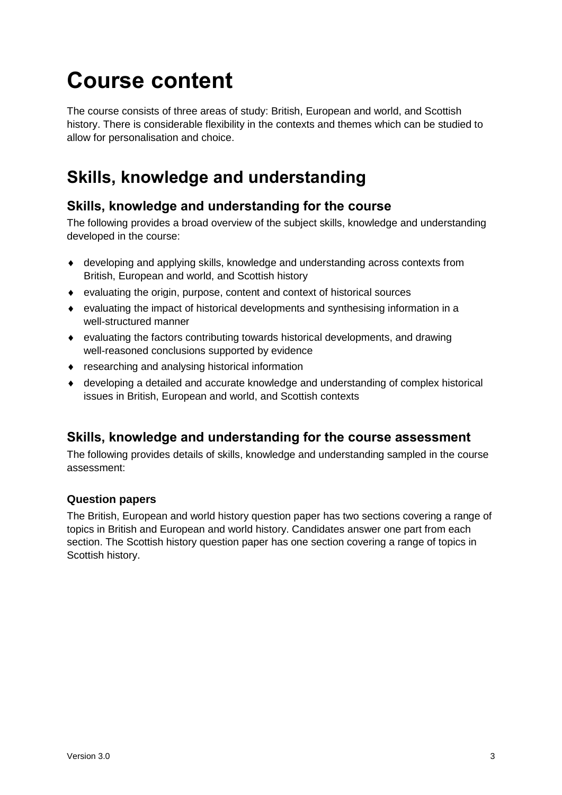# <span id="page-4-0"></span>**Course content**

The course consists of three areas of study: British, European and world, and Scottish history. There is considerable flexibility in the contexts and themes which can be studied to allow for personalisation and choice.

### <span id="page-4-1"></span>**Skills, knowledge and understanding**

#### **Skills, knowledge and understanding for the course**

The following provides a broad overview of the subject skills, knowledge and understanding developed in the course:

- developing and applying skills, knowledge and understanding across contexts from British, European and world, and Scottish history
- evaluating the origin, purpose, content and context of historical sources
- evaluating the impact of historical developments and synthesising information in a well-structured manner
- evaluating the factors contributing towards historical developments, and drawing well-reasoned conclusions supported by evidence
- researching and analysing historical information
- developing a detailed and accurate knowledge and understanding of complex historical issues in British, European and world, and Scottish contexts

#### **Skills, knowledge and understanding for the course assessment**

The following provides details of skills, knowledge and understanding sampled in the course assessment:

#### **Question papers**

The British, European and world history question paper has two sections covering a range of topics in British and European and world history. Candidates answer one part from each section. The Scottish history question paper has one section covering a range of topics in Scottish history.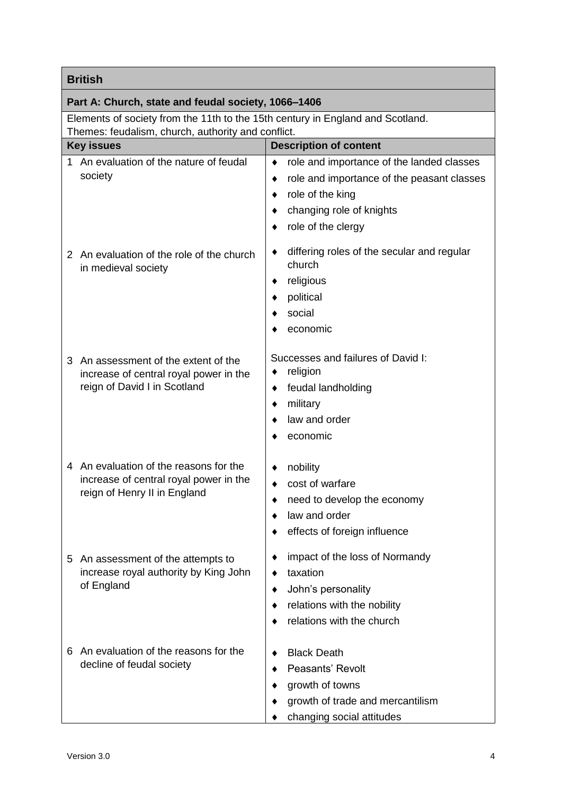| <b>British</b>                                                                                                                       |                                                                                                                                                                                           |  |
|--------------------------------------------------------------------------------------------------------------------------------------|-------------------------------------------------------------------------------------------------------------------------------------------------------------------------------------------|--|
| Part A: Church, state and feudal society, 1066-1406                                                                                  |                                                                                                                                                                                           |  |
| Elements of society from the 11th to the 15th century in England and Scotland.<br>Themes: feudalism, church, authority and conflict. |                                                                                                                                                                                           |  |
| <b>Description of content</b><br><b>Key issues</b>                                                                                   |                                                                                                                                                                                           |  |
| 1 An evaluation of the nature of feudal<br>society                                                                                   | role and importance of the landed classes<br>$\bullet$<br>role and importance of the peasant classes<br>٠<br>role of the king<br>٠<br>changing role of knights<br>role of the clergy<br>٠ |  |
| 2 An evaluation of the role of the church<br>in medieval society                                                                     | differing roles of the secular and regular<br>٠<br>church<br>religious<br>٠<br>political<br>٠<br>social<br>economic                                                                       |  |
| An assessment of the extent of the<br>3<br>increase of central royal power in the<br>reign of David I in Scotland                    | Successes and failures of David I:<br>religion<br>٠<br>feudal landholding<br>٠<br>military<br>٠<br>law and order<br>economic                                                              |  |
| 4 An evaluation of the reasons for the<br>increase of central royal power in the<br>reign of Henry II in England                     | nobility<br>cost of warfare<br>٠<br>need to develop the economy<br>٠<br>law and order<br>effects of foreign influence<br>٠                                                                |  |
| An assessment of the attempts to<br>5<br>increase royal authority by King John<br>of England                                         | impact of the loss of Normandy<br>٠<br>taxation<br>٠<br>John's personality<br>٠<br>relations with the nobility<br>٠<br>relations with the church                                          |  |
| An evaluation of the reasons for the<br>6<br>decline of feudal society                                                               | <b>Black Death</b><br>٠<br>Peasants' Revolt<br>growth of towns<br>growth of trade and mercantilism<br>changing social attitudes                                                           |  |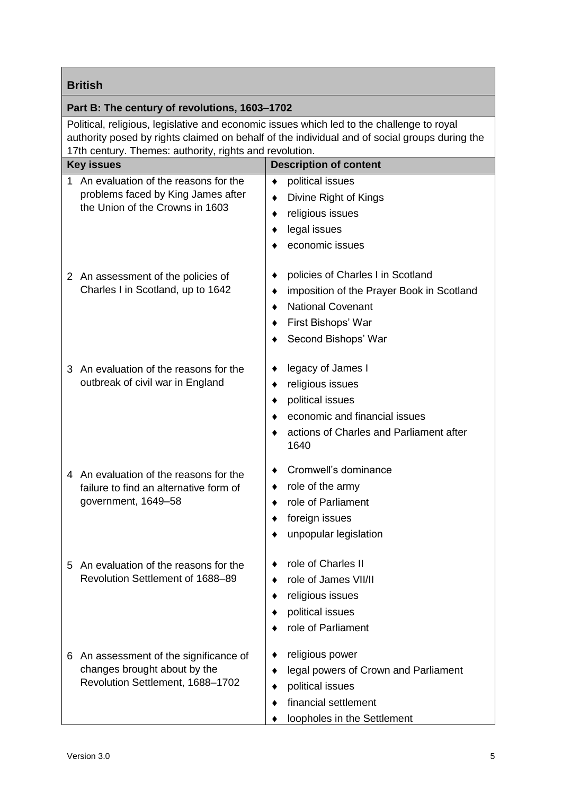|                                                                                                                                                                                                                                                                                                        | <b>British</b>                                                                                                |                                                                                                                                                                             |  |
|--------------------------------------------------------------------------------------------------------------------------------------------------------------------------------------------------------------------------------------------------------------------------------------------------------|---------------------------------------------------------------------------------------------------------------|-----------------------------------------------------------------------------------------------------------------------------------------------------------------------------|--|
|                                                                                                                                                                                                                                                                                                        |                                                                                                               |                                                                                                                                                                             |  |
| Part B: The century of revolutions, 1603-1702<br>Political, religious, legislative and economic issues which led to the challenge to royal<br>authority posed by rights claimed on behalf of the individual and of social groups during the<br>17th century. Themes: authority, rights and revolution. |                                                                                                               |                                                                                                                                                                             |  |
|                                                                                                                                                                                                                                                                                                        | <b>Key issues</b>                                                                                             | <b>Description of content</b>                                                                                                                                               |  |
| 1.                                                                                                                                                                                                                                                                                                     | An evaluation of the reasons for the<br>problems faced by King James after<br>the Union of the Crowns in 1603 | political issues<br>٠<br>Divine Right of Kings<br>٠<br>religious issues<br>٠<br>legal issues<br>٠<br>economic issues                                                        |  |
|                                                                                                                                                                                                                                                                                                        | 2 An assessment of the policies of<br>Charles I in Scotland, up to 1642                                       | policies of Charles I in Scotland<br>٠<br>imposition of the Prayer Book in Scotland<br>٠<br><b>National Covenant</b><br>٠<br>First Bishops' War<br>٠<br>Second Bishops' War |  |
|                                                                                                                                                                                                                                                                                                        | 3 An evaluation of the reasons for the<br>outbreak of civil war in England                                    | legacy of James I<br>٠<br>religious issues<br>٠<br>political issues<br>٠<br>economic and financial issues<br>٠<br>actions of Charles and Parliament after<br>٠<br>1640      |  |
|                                                                                                                                                                                                                                                                                                        | 4 An evaluation of the reasons for the<br>failure to find an alternative form of<br>government, 1649-58       | Cromwell's dominance<br>role of the army<br>role of Parliament<br>foreign issues<br>٠<br>unpopular legislation<br>٠                                                         |  |
|                                                                                                                                                                                                                                                                                                        | 5 An evaluation of the reasons for the<br>Revolution Settlement of 1688-89                                    | role of Charles II<br>٠<br>role of James VII/II<br>٠<br>religious issues<br>٠<br>political issues<br>٠<br>role of Parliament                                                |  |
|                                                                                                                                                                                                                                                                                                        | 6 An assessment of the significance of<br>changes brought about by the<br>Revolution Settlement, 1688-1702    | religious power<br>٠<br>legal powers of Crown and Parliament<br>٠<br>political issues<br>٠<br>financial settlement<br>٠<br>loopholes in the Settlement                      |  |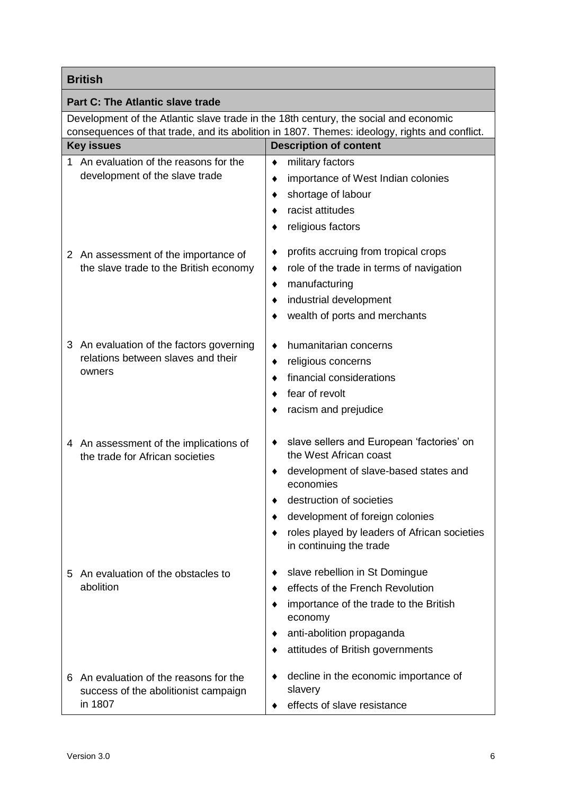| <b>British</b>                                                                                                                                                                        |                                                                                                                                                                                                                                                                                         |  |
|---------------------------------------------------------------------------------------------------------------------------------------------------------------------------------------|-----------------------------------------------------------------------------------------------------------------------------------------------------------------------------------------------------------------------------------------------------------------------------------------|--|
| <b>Part C: The Atlantic slave trade</b>                                                                                                                                               |                                                                                                                                                                                                                                                                                         |  |
| Development of the Atlantic slave trade in the 18th century, the social and economic<br>consequences of that trade, and its abolition in 1807. Themes: ideology, rights and conflict. |                                                                                                                                                                                                                                                                                         |  |
| <b>Key issues</b>                                                                                                                                                                     | <b>Description of content</b>                                                                                                                                                                                                                                                           |  |
| An evaluation of the reasons for the<br>1.<br>development of the slave trade                                                                                                          | military factors<br>٠<br>importance of West Indian colonies<br>٠<br>shortage of labour<br>٠<br>racist attitudes<br>٠<br>religious factors                                                                                                                                               |  |
| 2 An assessment of the importance of<br>the slave trade to the British economy                                                                                                        | profits accruing from tropical crops<br>٠<br>role of the trade in terms of navigation<br>٠<br>manufacturing<br>٠<br>industrial development<br>٠<br>wealth of ports and merchants<br>٠                                                                                                   |  |
| 3 An evaluation of the factors governing<br>relations between slaves and their<br>owners                                                                                              | humanitarian concerns<br>٠<br>religious concerns<br>٠<br>financial considerations<br>٠<br>fear of revolt<br>racism and prejudice                                                                                                                                                        |  |
| 4 An assessment of the implications of<br>the trade for African societies                                                                                                             | slave sellers and European 'factories' on<br>the West African coast<br>development of slave-based states and<br>٠<br>economies<br>destruction of societies<br>٠<br>development of foreign colonies<br>٠<br>roles played by leaders of African societies<br>٠<br>in continuing the trade |  |
| 5 An evaluation of the obstacles to<br>abolition                                                                                                                                      | slave rebellion in St Domingue<br>effects of the French Revolution<br>٠<br>importance of the trade to the British<br>٠<br>economy<br>anti-abolition propaganda<br>٠<br>attitudes of British governments<br>٠                                                                            |  |
| An evaluation of the reasons for the<br>6<br>success of the abolitionist campaign<br>in 1807                                                                                          | decline in the economic importance of<br>٠<br>slavery<br>effects of slave resistance                                                                                                                                                                                                    |  |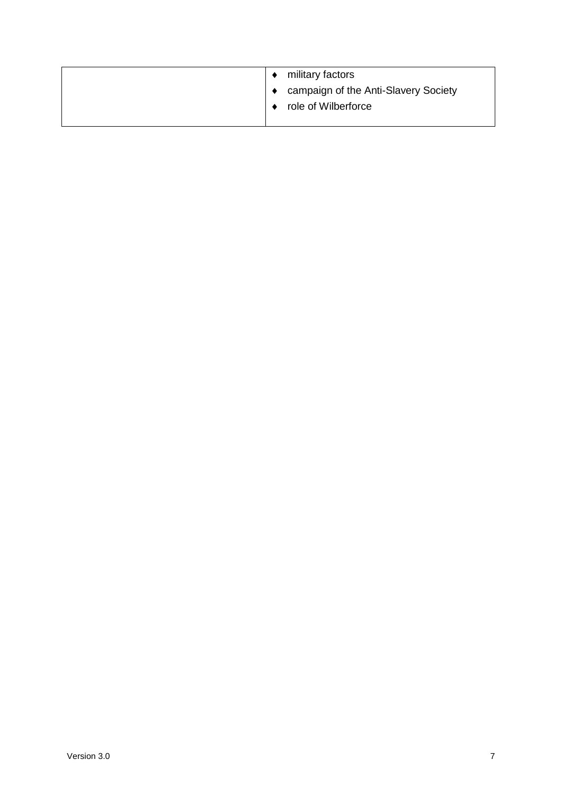| military factors                     |
|--------------------------------------|
| campaign of the Anti-Slavery Society |
| role of Wilberforce                  |
|                                      |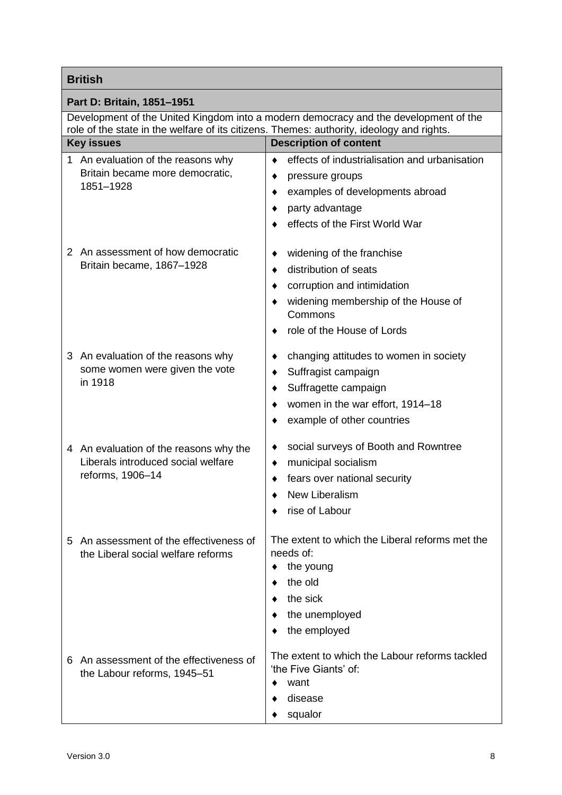| <b>British</b>                                                                                                                                  |                                                                         |  |
|-------------------------------------------------------------------------------------------------------------------------------------------------|-------------------------------------------------------------------------|--|
| Part D: Britain, 1851-1951                                                                                                                      |                                                                         |  |
| Development of the United Kingdom into a modern democracy and the development of the                                                            |                                                                         |  |
| role of the state in the welfare of its citizens. Themes: authority, ideology and rights.<br><b>Description of content</b><br><b>Key issues</b> |                                                                         |  |
| 1                                                                                                                                               | effects of industrialisation and urbanisation<br>$\bullet$              |  |
| An evaluation of the reasons why<br>Britain became more democratic,<br>1851-1928                                                                |                                                                         |  |
|                                                                                                                                                 | pressure groups<br>٠<br>examples of developments abroad                 |  |
|                                                                                                                                                 | ٠<br>party advantage                                                    |  |
|                                                                                                                                                 | effects of the First World War                                          |  |
|                                                                                                                                                 |                                                                         |  |
| 2 An assessment of how democratic                                                                                                               | widening of the franchise                                               |  |
| Britain became, 1867-1928                                                                                                                       | distribution of seats                                                   |  |
|                                                                                                                                                 | corruption and intimidation                                             |  |
|                                                                                                                                                 | widening membership of the House of<br>Commons                          |  |
|                                                                                                                                                 | role of the House of Lords                                              |  |
| 3 An evaluation of the reasons why                                                                                                              | changing attitudes to women in society<br>٠                             |  |
| some women were given the vote                                                                                                                  | Suffragist campaign<br>٠                                                |  |
| in 1918                                                                                                                                         | Suffragette campaign                                                    |  |
|                                                                                                                                                 | women in the war effort, 1914-18                                        |  |
|                                                                                                                                                 | example of other countries                                              |  |
|                                                                                                                                                 | social surveys of Booth and Rowntree                                    |  |
| 4 An evaluation of the reasons why the<br>Liberals introduced social welfare                                                                    | municipal socialism                                                     |  |
| reforms, 1906-14                                                                                                                                | fears over national security                                            |  |
|                                                                                                                                                 | <b>New Liberalism</b>                                                   |  |
|                                                                                                                                                 | rise of Labour                                                          |  |
|                                                                                                                                                 |                                                                         |  |
| An assessment of the effectiveness of<br>5<br>the Liberal social welfare reforms                                                                | The extent to which the Liberal reforms met the<br>needs of:            |  |
|                                                                                                                                                 | the young<br>٠                                                          |  |
|                                                                                                                                                 | the old                                                                 |  |
|                                                                                                                                                 | the sick                                                                |  |
|                                                                                                                                                 | the unemployed                                                          |  |
|                                                                                                                                                 | the employed                                                            |  |
| An assessment of the effectiveness of<br>6<br>the Labour reforms, 1945-51                                                                       | The extent to which the Labour reforms tackled<br>'the Five Giants' of: |  |
|                                                                                                                                                 | want                                                                    |  |
|                                                                                                                                                 | disease                                                                 |  |
|                                                                                                                                                 | squalor                                                                 |  |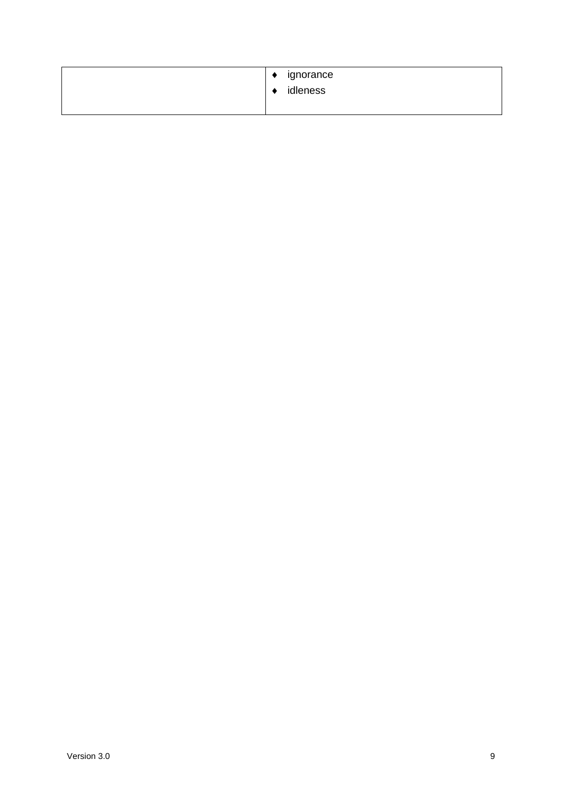| ignorance<br>٠<br>idleness |
|----------------------------|
|                            |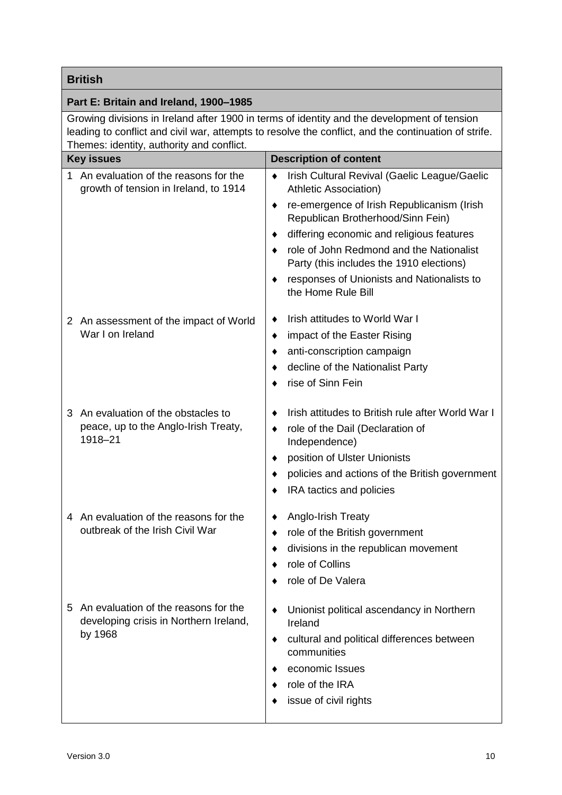#### **British**

#### **Part E: Britain and Ireland, 1900***–***1985**

Growing divisions in Ireland after 1900 in terms of identity and the development of tension leading to conflict and civil war, attempts to resolve the conflict, and the continuation of strife. Themes: identity, authority and conflict.

|   | <b>Key issues</b>                                                                           | <b>Description of content</b>                                                             |
|---|---------------------------------------------------------------------------------------------|-------------------------------------------------------------------------------------------|
| 1 | An evaluation of the reasons for the<br>growth of tension in Ireland, to 1914               | Irish Cultural Revival (Gaelic League/Gaelic<br>$\bullet$<br><b>Athletic Association)</b> |
|   |                                                                                             | re-emergence of Irish Republicanism (Irish<br>٠<br>Republican Brotherhood/Sinn Fein)      |
|   |                                                                                             | differing economic and religious features                                                 |
|   |                                                                                             | role of John Redmond and the Nationalist<br>Party (this includes the 1910 elections)      |
|   |                                                                                             | responses of Unionists and Nationalists to<br>the Home Rule Bill                          |
|   | 2 An assessment of the impact of World                                                      | Irish attitudes to World War I                                                            |
|   | War I on Ireland                                                                            | impact of the Easter Rising<br>٠                                                          |
|   |                                                                                             | anti-conscription campaign                                                                |
|   |                                                                                             | decline of the Nationalist Party                                                          |
|   |                                                                                             | rise of Sinn Fein                                                                         |
| 3 | An evaluation of the obstacles to                                                           | Irish attitudes to British rule after World War I                                         |
|   | peace, up to the Anglo-Irish Treaty,                                                        | role of the Dail (Declaration of<br>٠                                                     |
|   | 1918-21                                                                                     | Independence)                                                                             |
|   |                                                                                             | position of Ulster Unionists                                                              |
|   |                                                                                             | policies and actions of the British government                                            |
|   |                                                                                             | IRA tactics and policies                                                                  |
|   | 4 An evaluation of the reasons for the                                                      | Anglo-Irish Treaty<br>٠                                                                   |
|   | outbreak of the Irish Civil War                                                             | role of the British government<br>٠                                                       |
|   |                                                                                             | divisions in the republican movement                                                      |
|   |                                                                                             | role of Collins                                                                           |
|   |                                                                                             | role of De Valera                                                                         |
|   | 5 An evaluation of the reasons for the<br>developing crisis in Northern Ireland,<br>by 1968 | Unionist political ascendancy in Northern                                                 |
|   |                                                                                             | Ireland                                                                                   |
|   |                                                                                             | cultural and political differences between<br>٠<br>communities                            |
|   |                                                                                             | economic Issues                                                                           |
|   |                                                                                             | role of the IRA                                                                           |
|   |                                                                                             | issue of civil rights                                                                     |
|   |                                                                                             |                                                                                           |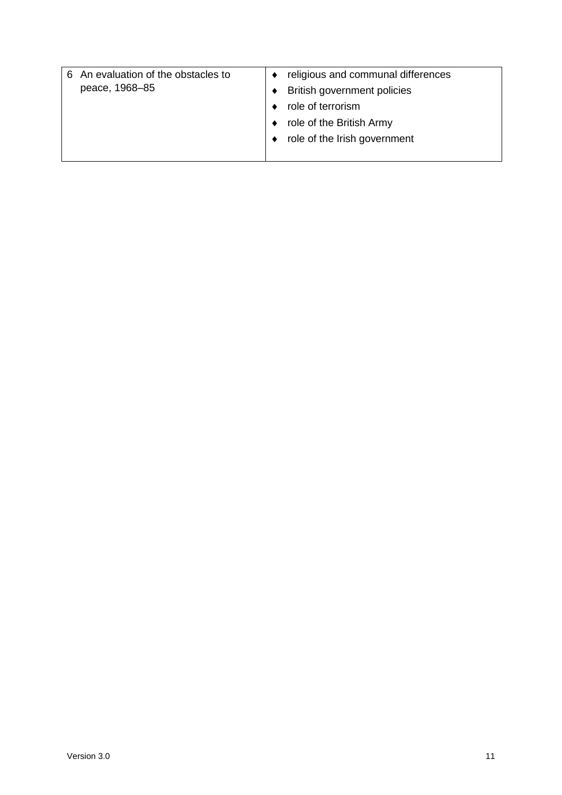| An evaluation of the obstacles to<br>6<br>peace, 1968–85 | religious and communal differences<br>British government policies<br>role of terrorism<br>role of the British Army<br>role of the Irish government |
|----------------------------------------------------------|----------------------------------------------------------------------------------------------------------------------------------------------------|
|----------------------------------------------------------|----------------------------------------------------------------------------------------------------------------------------------------------------|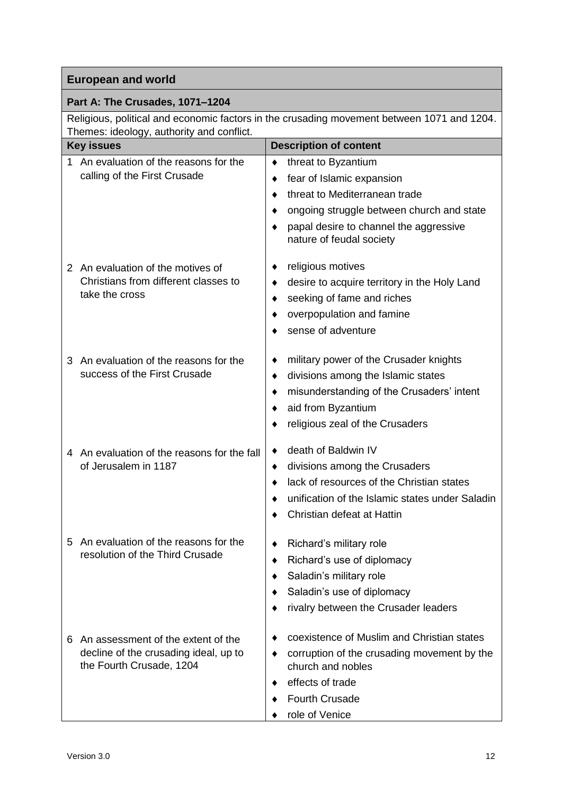#### **Part A: The Crusades, 1071–1204**

Religious, political and economic factors in the crusading movement between 1071 and 1204. Themes: ideology, authority and conflict.

| <b>Key issues</b>                                                                                            | <b>Description of content</b>                                                                                                                                                                                  |
|--------------------------------------------------------------------------------------------------------------|----------------------------------------------------------------------------------------------------------------------------------------------------------------------------------------------------------------|
| An evaluation of the reasons for the<br>1<br>calling of the First Crusade                                    | threat to Byzantium<br>٠<br>fear of Islamic expansion<br>٠<br>threat to Mediterranean trade<br>ongoing struggle between church and state<br>papal desire to channel the aggressive<br>nature of feudal society |
| 2 An evaluation of the motives of<br>Christians from different classes to<br>take the cross                  | religious motives<br>desire to acquire territory in the Holy Land<br>٠<br>seeking of fame and riches<br>overpopulation and famine<br>sense of adventure                                                        |
| An evaluation of the reasons for the<br>З<br>success of the First Crusade                                    | military power of the Crusader knights<br>divisions among the Islamic states<br>٠<br>misunderstanding of the Crusaders' intent<br>aid from Byzantium<br>religious zeal of the Crusaders                        |
| 4 An evaluation of the reasons for the fall<br>of Jerusalem in 1187                                          | death of Baldwin IV<br>divisions among the Crusaders<br>٠<br>lack of resources of the Christian states<br>unification of the Islamic states under Saladin<br>Christian defeat at Hattin                        |
| An evaluation of the reasons for the<br>5<br>resolution of the Third Crusade                                 | Richard's military role<br>Richard's use of diplomacy<br>Saladin's military role<br>Saladin's use of diplomacy<br>rivalry between the Crusader leaders                                                         |
| An assessment of the extent of the<br>6<br>decline of the crusading ideal, up to<br>the Fourth Crusade, 1204 | coexistence of Muslim and Christian states<br>corruption of the crusading movement by the<br>church and nobles<br>effects of trade<br><b>Fourth Crusade</b><br>role of Venice                                  |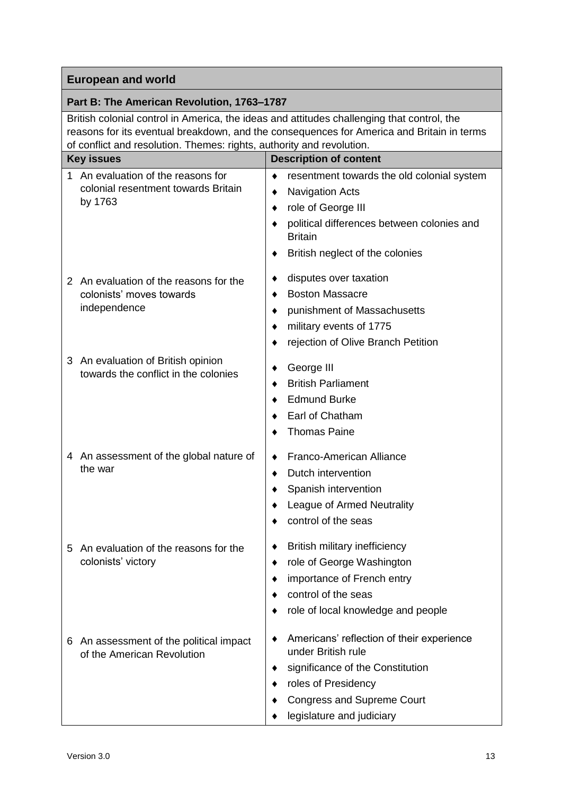#### **Part B: The American Revolution, 1763–1787**

British colonial control in America, the ideas and attitudes challenging that control, the reasons for its eventual breakdown, and the consequences for America and Britain in terms of conflict and resolution. Themes: rights, authority and revolution.

| <b>Key issues</b>                                                                        | <b>Description of content</b>                                                                                                                                                                      |
|------------------------------------------------------------------------------------------|----------------------------------------------------------------------------------------------------------------------------------------------------------------------------------------------------|
| An evaluation of the reasons for<br>1.<br>colonial resentment towards Britain<br>by 1763 | resentment towards the old colonial system<br>٠<br><b>Navigation Acts</b><br>role of George III<br>political differences between colonies and<br><b>Britain</b><br>British neglect of the colonies |
| 2 An evaluation of the reasons for the<br>colonists' moves towards<br>independence       | disputes over taxation<br><b>Boston Massacre</b><br>punishment of Massachusetts<br>military events of 1775<br>rejection of Olive Branch Petition                                                   |
| An evaluation of British opinion<br>3<br>towards the conflict in the colonies            | George III<br><b>British Parliament</b><br><b>Edmund Burke</b><br>Earl of Chatham<br><b>Thomas Paine</b>                                                                                           |
| 4 An assessment of the global nature of<br>the war                                       | Franco-American Alliance<br>Dutch intervention<br>٠<br>Spanish intervention<br>League of Armed Neutrality<br>control of the seas                                                                   |
| An evaluation of the reasons for the<br>5<br>colonists' victory                          | British military inefficiency<br>role of George Washington<br>importance of French entry<br>control of the seas<br>role of local knowledge and people                                              |
| An assessment of the political impact<br>6<br>of the American Revolution                 | Americans' reflection of their experience<br>under British rule<br>significance of the Constitution<br>roles of Presidency<br><b>Congress and Supreme Court</b><br>legislature and judiciary       |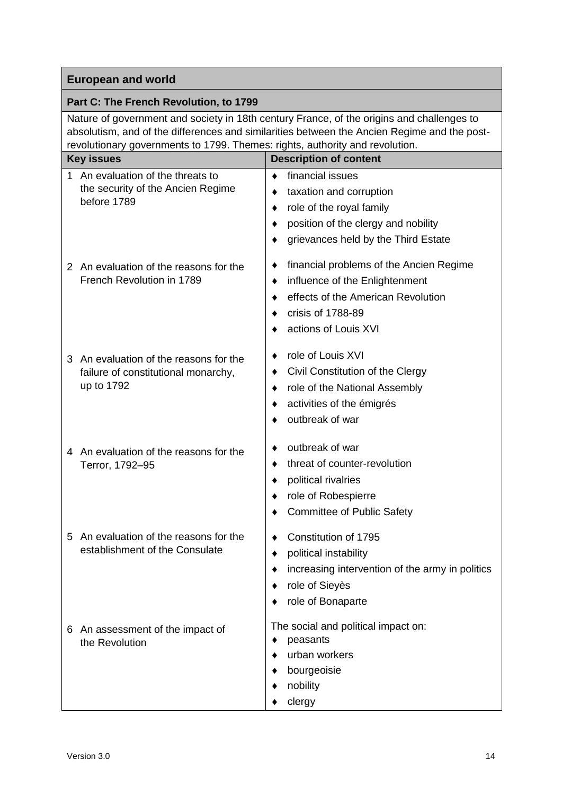#### **Part C: The French Revolution, to 1799**

Nature of government and society in 18th century France, of the origins and challenges to absolutism, and of the differences and similarities between the Ancien Regime and the postrevolutionary governments to 1799. Themes: rights, authority and revolution.

| <b>Key issues</b>                                                                              | <b>Description of content</b>                                                                                                                                             |
|------------------------------------------------------------------------------------------------|---------------------------------------------------------------------------------------------------------------------------------------------------------------------------|
| An evaluation of the threats to<br>1.<br>the security of the Ancien Regime<br>before 1789      | financial issues<br>٠<br>taxation and corruption<br>٠<br>role of the royal family<br>٠<br>position of the clergy and nobility<br>٠<br>grievances held by the Third Estate |
| 2 An evaluation of the reasons for the<br>French Revolution in 1789                            | financial problems of the Ancien Regime<br>influence of the Enlightenment<br>٠<br>effects of the American Revolution<br>crisis of 1788-89<br>actions of Louis XVI         |
| 3<br>An evaluation of the reasons for the<br>failure of constitutional monarchy,<br>up to 1792 | role of Louis XVI<br>Civil Constitution of the Clergy<br>role of the National Assembly<br>٠<br>activities of the émigrés<br>outbreak of war                               |
| An evaluation of the reasons for the<br>4<br>Terror, 1792-95                                   | outbreak of war<br>threat of counter-revolution<br>political rivalries<br>role of Robespierre<br><b>Committee of Public Safety</b>                                        |
| An evaluation of the reasons for the<br>5<br>establishment of the Consulate                    | Constitution of 1795<br>political instability<br>increasing intervention of the army in politics<br>role of Sieyès<br>role of Bonaparte                                   |
| An assessment of the impact of<br>6<br>the Revolution                                          | The social and political impact on:<br>peasants<br>٠<br>urban workers<br>bourgeoisie<br>nobility<br>clergy                                                                |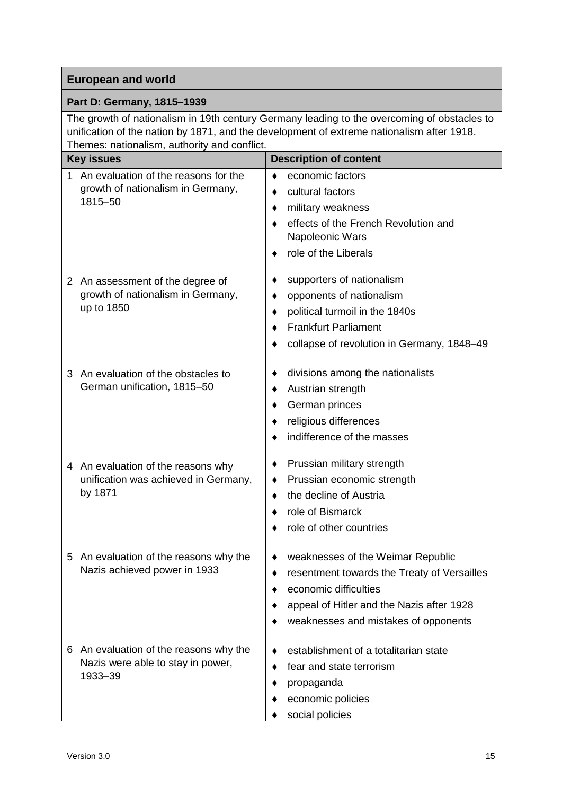#### **Part D: Germany, 1815–1939**

The growth of nationalism in 19th century Germany leading to the overcoming of obstacles to unification of the nation by 1871, and the development of extreme nationalism after 1918. Themes: nationalism, authority and conflict.

|   | <b>Key issues</b>                                                                     | <b>Description of content</b>                                                                                                                                                                  |
|---|---------------------------------------------------------------------------------------|------------------------------------------------------------------------------------------------------------------------------------------------------------------------------------------------|
| 1 | An evaluation of the reasons for the<br>growth of nationalism in Germany,<br>1815-50  | economic factors<br>٠<br>cultural factors<br>٠<br>military weakness<br>٠<br>effects of the French Revolution and<br>Napoleonic Wars<br>role of the Liberals                                    |
|   | 2 An assessment of the degree of<br>growth of nationalism in Germany,<br>up to 1850   | supporters of nationalism<br>opponents of nationalism<br>٠<br>political turmoil in the 1840s<br><b>Frankfurt Parliament</b><br>collapse of revolution in Germany, 1848-49                      |
| 3 | An evaluation of the obstacles to<br>German unification, 1815-50                      | divisions among the nationalists<br>٠<br>Austrian strength<br>٠<br>German princes<br>religious differences<br>indifference of the masses                                                       |
|   | 4 An evaluation of the reasons why<br>unification was achieved in Germany,<br>by 1871 | Prussian military strength<br>٠<br>Prussian economic strength<br>٠<br>the decline of Austria<br>role of Bismarck<br>role of other countries                                                    |
|   | 5 An evaluation of the reasons why the<br>Nazis achieved power in 1933                | weaknesses of the Weimar Republic<br>resentment towards the Treaty of Versailles<br>economic difficulties<br>appeal of Hitler and the Nazis after 1928<br>weaknesses and mistakes of opponents |
| 6 | An evaluation of the reasons why the<br>Nazis were able to stay in power,<br>1933-39  | establishment of a totalitarian state<br>fear and state terrorism<br>propaganda<br>economic policies<br>social policies                                                                        |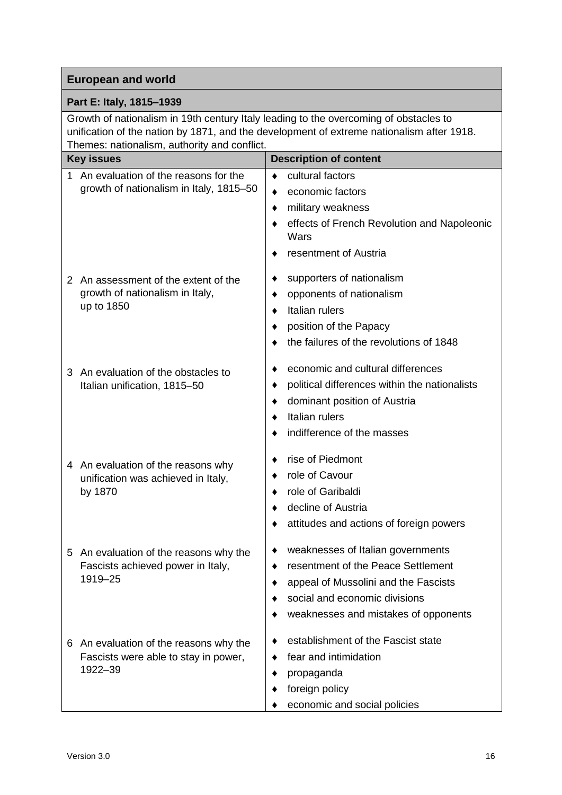#### **Part E: Italy, 1815–1939**

Growth of nationalism in 19th century Italy leading to the overcoming of obstacles to unification of the nation by 1871, and the development of extreme nationalism after 1918. Themes: nationalism, authority and conflict.

|                           | <b>Key issues</b>                             | <b>Description of content</b>                       |
|---------------------------|-----------------------------------------------|-----------------------------------------------------|
| 1.                        | An evaluation of the reasons for the          | cultural factors<br>٠                               |
|                           | growth of nationalism in Italy, 1815-50       | economic factors<br>٠                               |
|                           |                                               | military weakness<br>٠                              |
|                           |                                               | effects of French Revolution and Napoleonic<br>Wars |
|                           |                                               | resentment of Austria                               |
| $\mathbf{2}^{\mathsf{I}}$ | An assessment of the extent of the            | supporters of nationalism                           |
|                           | growth of nationalism in Italy,               | opponents of nationalism<br>٠                       |
|                           | up to 1850                                    | Italian rulers<br>٠                                 |
|                           |                                               | position of the Papacy                              |
|                           |                                               | the failures of the revolutions of 1848             |
| 3                         | An evaluation of the obstacles to             | economic and cultural differences                   |
|                           | Italian unification, 1815-50                  | political differences within the nationalists<br>٠  |
|                           |                                               | dominant position of Austria<br>٠                   |
|                           |                                               | Italian rulers                                      |
|                           |                                               | indifference of the masses                          |
| 4                         | An evaluation of the reasons why              | rise of Piedmont                                    |
|                           | unification was achieved in Italy,<br>by 1870 | role of Cavour                                      |
|                           |                                               | role of Garibaldi                                   |
|                           |                                               | decline of Austria                                  |
|                           |                                               | attitudes and actions of foreign powers             |
| 5                         | An evaluation of the reasons why the          | weaknesses of Italian governments                   |
|                           | Fascists achieved power in Italy,<br>1919-25  | resentment of the Peace Settlement                  |
|                           |                                               | appeal of Mussolini and the Fascists                |
|                           |                                               | social and economic divisions                       |
|                           |                                               | weaknesses and mistakes of opponents                |
|                           | 6 An evaluation of the reasons why the        | establishment of the Fascist state                  |
|                           | Fascists were able to stay in power,          | fear and intimidation                               |
|                           | 1922-39                                       | propaganda                                          |
|                           |                                               | foreign policy                                      |
|                           |                                               | economic and social policies                        |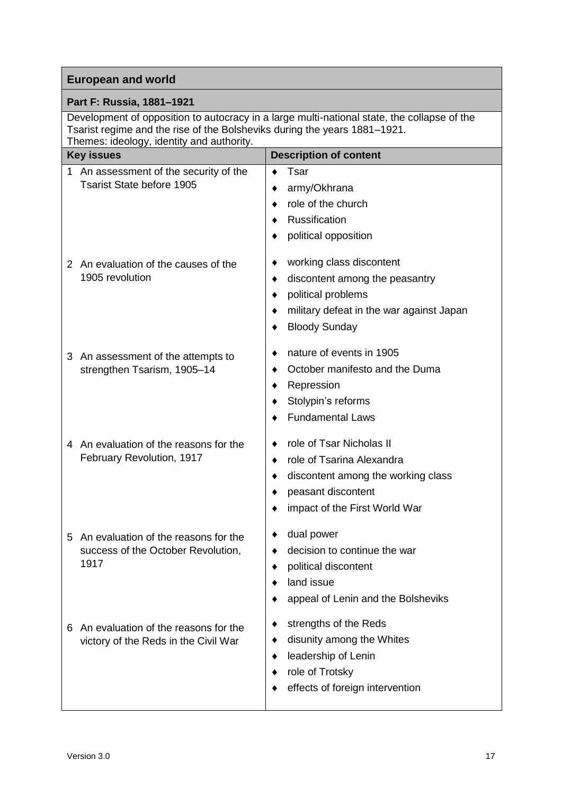| <b>European and world</b>                                                                                                                                                                                             |                                                                                                                                                                     |  |
|-----------------------------------------------------------------------------------------------------------------------------------------------------------------------------------------------------------------------|---------------------------------------------------------------------------------------------------------------------------------------------------------------------|--|
| Part F: Russia, 1881-1921                                                                                                                                                                                             |                                                                                                                                                                     |  |
| Development of opposition to autocracy in a large multi-national state, the collapse of the<br>Tsarist regime and the rise of the Bolsheviks during the years 1881–1921.<br>Themes: ideology, identity and authority. |                                                                                                                                                                     |  |
| <b>Key issues</b>                                                                                                                                                                                                     | <b>Description of content</b>                                                                                                                                       |  |
| 1 An assessment of the security of the<br><b>Tsarist State before 1905</b>                                                                                                                                            | Tsar<br>army/Okhrana<br>role of the church<br><b>Russification</b><br>political opposition                                                                          |  |
| 2 An evaluation of the causes of the<br>1905 revolution                                                                                                                                                               | working class discontent<br>٠<br>discontent among the peasantry<br>٠<br>political problems<br>military defeat in the war against Japan<br>٠<br><b>Bloody Sunday</b> |  |
| 3 An assessment of the attempts to<br>strengthen Tsarism, 1905-14                                                                                                                                                     | nature of events in 1905<br>October manifesto and the Duma<br>Repression<br>Stolypin's reforms<br><b>Fundamental Laws</b>                                           |  |
| 4 An evaluation of the reasons for the<br>February Revolution, 1917                                                                                                                                                   | role of Tsar Nicholas II<br>role of Tsarina Alexandra<br>٠<br>discontent among the working class<br>peasant discontent<br>impact of the First World War             |  |
| An evaluation of the reasons for the<br>5<br>success of the October Revolution,<br>1917                                                                                                                               | dual power<br>decision to continue the war<br>political discontent<br>land issue<br>appeal of Lenin and the Bolsheviks                                              |  |
| An evaluation of the reasons for the<br>6<br>victory of the Reds in the Civil War                                                                                                                                     | strengths of the Reds<br>disunity among the Whites<br>leadership of Lenin<br>٠<br>role of Trotsky<br>effects of foreign intervention                                |  |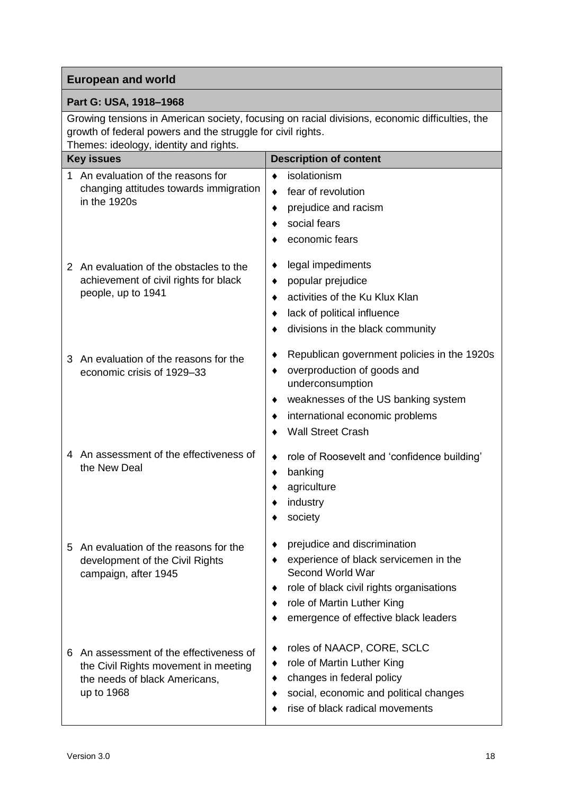#### **Part G: USA, 1918–1968**

Growing tensions in American society, focusing on racial divisions, economic difficulties, the growth of federal powers and the struggle for civil rights. Themes: ideology, identity and rights.

|    | $\frac{1}{2}$<br><b>Key issues</b>                                                                                           | <b>Description of content</b>                                                                                                                                                                               |
|----|------------------------------------------------------------------------------------------------------------------------------|-------------------------------------------------------------------------------------------------------------------------------------------------------------------------------------------------------------|
| 1. | An evaluation of the reasons for<br>changing attitudes towards immigration<br>in the 1920s                                   | isolationism<br>٠<br>fear of revolution<br>٠<br>prejudice and racism<br>social fears<br>economic fears                                                                                                      |
|    | 2 An evaluation of the obstacles to the<br>achievement of civil rights for black<br>people, up to 1941                       | legal impediments<br>٠<br>popular prejudice<br>٠<br>activities of the Ku Klux Klan<br>lack of political influence<br>divisions in the black community                                                       |
|    | 3 An evaluation of the reasons for the<br>economic crisis of 1929-33                                                         | Republican government policies in the 1920s<br>overproduction of goods and<br>underconsumption<br>weaknesses of the US banking system<br>international economic problems<br><b>Wall Street Crash</b>        |
|    | 4 An assessment of the effectiveness of<br>the New Deal                                                                      | role of Roosevelt and 'confidence building'<br>٠<br>banking<br>agriculture<br>industry<br>society                                                                                                           |
| 5  | An evaluation of the reasons for the<br>development of the Civil Rights<br>campaign, after 1945                              | prejudice and discrimination<br>experience of black servicemen in the<br>Second World War<br>role of black civil rights organisations<br>role of Martin Luther King<br>emergence of effective black leaders |
| 6. | An assessment of the effectiveness of<br>the Civil Rights movement in meeting<br>the needs of black Americans,<br>up to 1968 | roles of NAACP, CORE, SCLC<br>role of Martin Luther King<br>٠<br>changes in federal policy<br>social, economic and political changes<br>rise of black radical movements                                     |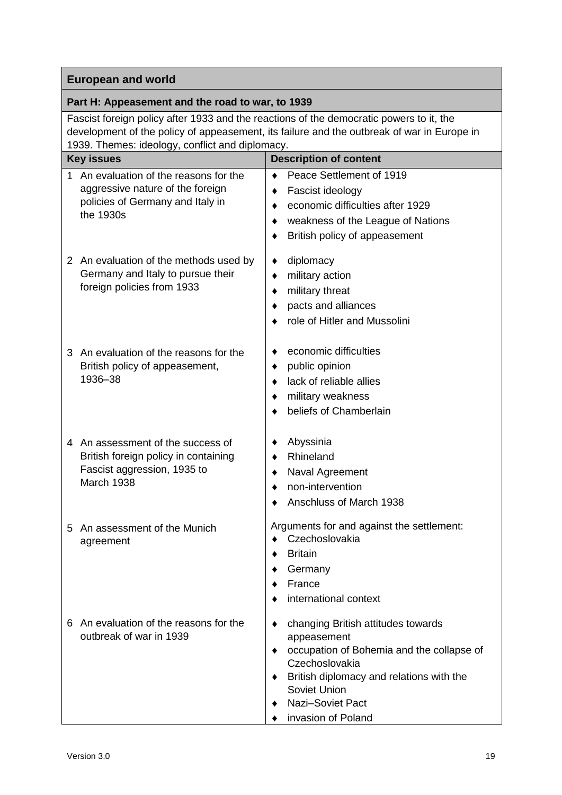#### **Part H: Appeasement and the road to war, to 1939**

Fascist foreign policy after 1933 and the reactions of the democratic powers to it, the development of the policy of appeasement, its failure and the outbreak of war in Europe in 1939. Themes: ideology, conflict and diplomacy.

|             | roos. Themes. lacology, commet and diplomacy.                                                                |                                                                                                         |
|-------------|--------------------------------------------------------------------------------------------------------------|---------------------------------------------------------------------------------------------------------|
|             | <b>Key issues</b>                                                                                            | <b>Description of content</b>                                                                           |
| $\mathbf 1$ | An evaluation of the reasons for the<br>aggressive nature of the foreign<br>policies of Germany and Italy in | Peace Settlement of 1919<br>$\bullet$<br>Fascist ideology<br>٠<br>economic difficulties after 1929<br>٠ |
|             | the 1930s                                                                                                    | weakness of the League of Nations                                                                       |
|             |                                                                                                              | British policy of appeasement                                                                           |
|             | 2 An evaluation of the methods used by                                                                       | diplomacy<br>٠                                                                                          |
|             | Germany and Italy to pursue their                                                                            | military action<br>٠                                                                                    |
|             | foreign policies from 1933                                                                                   | military threat<br>٠                                                                                    |
|             |                                                                                                              | pacts and alliances                                                                                     |
|             |                                                                                                              | role of Hitler and Mussolini                                                                            |
| 3           | An evaluation of the reasons for the                                                                         | economic difficulties                                                                                   |
|             | British policy of appeasement,<br>1936-38                                                                    | public opinion<br>٠                                                                                     |
|             |                                                                                                              | lack of reliable allies                                                                                 |
|             |                                                                                                              | military weakness                                                                                       |
|             |                                                                                                              | beliefs of Chamberlain                                                                                  |
|             | 4 An assessment of the success of                                                                            | Abyssinia                                                                                               |
|             | British foreign policy in containing<br>Fascist aggression, 1935 to<br>March 1938                            | Rhineland<br>٠                                                                                          |
|             |                                                                                                              | Naval Agreement<br>٠                                                                                    |
|             |                                                                                                              | non-intervention                                                                                        |
|             |                                                                                                              | Anschluss of March 1938                                                                                 |
| 5           | An assessment of the Munich<br>agreement                                                                     | Arguments for and against the settlement:<br>Czechoslovakia                                             |
|             |                                                                                                              | <b>Britain</b>                                                                                          |
|             |                                                                                                              | Germany                                                                                                 |
|             |                                                                                                              | France                                                                                                  |
|             |                                                                                                              | international context                                                                                   |
| 6           | An evaluation of the reasons for the<br>outbreak of war in 1939                                              | changing British attitudes towards                                                                      |
|             |                                                                                                              | appeasement<br>occupation of Bohemia and the collapse of                                                |
|             |                                                                                                              | Czechoslovakia                                                                                          |
|             |                                                                                                              | British diplomacy and relations with the                                                                |
|             |                                                                                                              | Soviet Union                                                                                            |
|             |                                                                                                              | Nazi-Soviet Pact                                                                                        |
|             |                                                                                                              | invasion of Poland                                                                                      |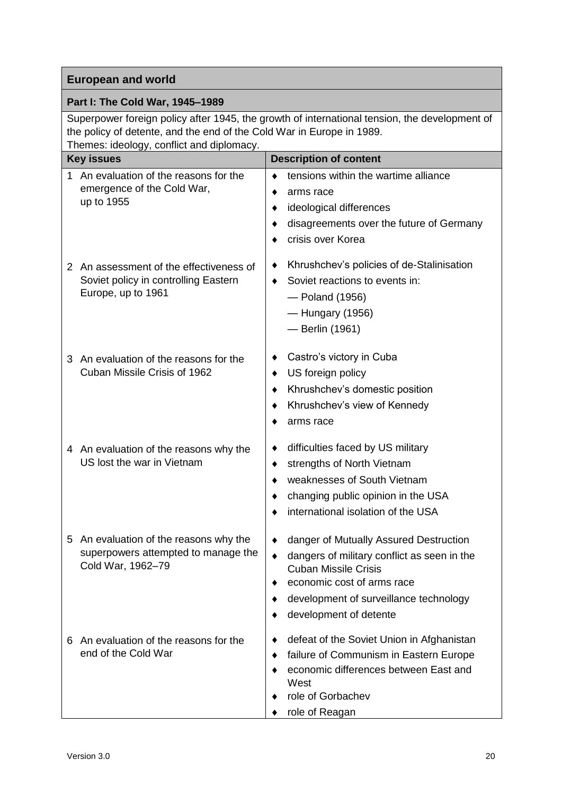#### **Part I: The Cold War, 1945–1989**

Superpower foreign policy after 1945, the growth of international tension, the development of the policy of detente, and the end of the Cold War in Europe in 1989. Themes: ideology, conflict and diplomacy.

|   | $\frac{1}{2}$<br><b>Key issues</b>                                                                    | <b>Description of content</b>                                                                                                                                                                                          |
|---|-------------------------------------------------------------------------------------------------------|------------------------------------------------------------------------------------------------------------------------------------------------------------------------------------------------------------------------|
| 1 | An evaluation of the reasons for the<br>emergence of the Cold War,<br>up to 1955                      | tensions within the wartime alliance<br>arms race<br>ideological differences<br>disagreements over the future of Germany<br>crisis over Korea                                                                          |
|   | 2 An assessment of the effectiveness of<br>Soviet policy in controlling Eastern<br>Europe, up to 1961 | Khrushchev's policies of de-Stalinisation<br>Soviet reactions to events in:<br>٠<br>- Poland (1956)<br>-Hungary (1956)<br>- Berlin (1961)                                                                              |
|   | 3 An evaluation of the reasons for the<br>Cuban Missile Crisis of 1962                                | Castro's victory in Cuba<br>US foreign policy<br>٠<br>Khrushchev's domestic position<br>٠<br>Khrushchev's view of Kennedy<br>arms race                                                                                 |
|   | 4 An evaluation of the reasons why the<br>US lost the war in Vietnam                                  | difficulties faced by US military<br>strengths of North Vietnam<br>٠<br>weaknesses of South Vietnam<br>changing public opinion in the USA<br>international isolation of the USA                                        |
| 5 | An evaluation of the reasons why the<br>superpowers attempted to manage the<br>Cold War, 1962-79      | danger of Mutually Assured Destruction<br>dangers of military conflict as seen in the<br><b>Cuban Missile Crisis</b><br>economic cost of arms race<br>development of surveillance technology<br>development of detente |
| 6 | An evaluation of the reasons for the<br>end of the Cold War                                           | defeat of the Soviet Union in Afghanistan<br>failure of Communism in Eastern Europe<br>economic differences between East and<br>West<br>role of Gorbachev<br>role of Reagan                                            |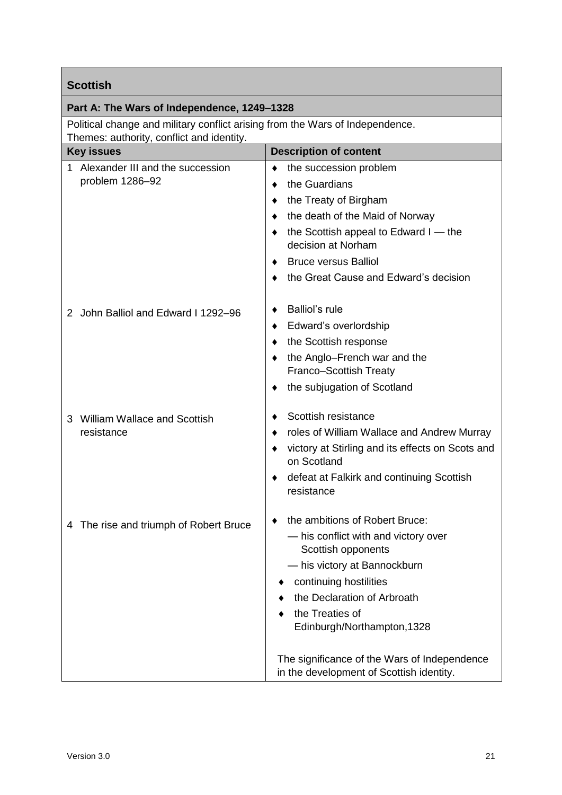| <b>Scottish</b>                                                               |                                                                 |
|-------------------------------------------------------------------------------|-----------------------------------------------------------------|
| Part A: The Wars of Independence, 1249–1328                                   |                                                                 |
| Political change and military conflict arising from the Wars of Independence. |                                                                 |
| Themes: authority, conflict and identity.<br><b>Key issues</b>                | <b>Description of content</b>                                   |
| 1 Alexander III and the succession                                            | the succession problem                                          |
| problem 1286-92                                                               | the Guardians                                                   |
|                                                                               | the Treaty of Birgham<br>٠                                      |
|                                                                               | the death of the Maid of Norway                                 |
|                                                                               | the Scottish appeal to Edward I — the                           |
|                                                                               | decision at Norham                                              |
|                                                                               | <b>Bruce versus Balliol</b>                                     |
|                                                                               | the Great Cause and Edward's decision                           |
|                                                                               |                                                                 |
| John Balliol and Edward I 1292-96<br>2                                        | Balliol's rule                                                  |
|                                                                               | Edward's overlordship                                           |
|                                                                               | the Scottish response                                           |
|                                                                               | the Anglo-French war and the                                    |
|                                                                               | Franco-Scottish Treaty                                          |
|                                                                               | the subjugation of Scotland                                     |
|                                                                               | Scottish resistance                                             |
| 3 William Wallace and Scottish<br>resistance                                  |                                                                 |
|                                                                               | roles of William Wallace and Andrew Murray                      |
|                                                                               | victory at Stirling and its effects on Scots and<br>on Scotland |
|                                                                               | defeat at Falkirk and continuing Scottish                       |
|                                                                               | resistance                                                      |
|                                                                               | the ambitions of Robert Bruce:                                  |
| 4 The rise and triumph of Robert Bruce                                        | - his conflict with and victory over                            |
|                                                                               | Scottish opponents                                              |
|                                                                               | - his victory at Bannockburn                                    |
|                                                                               | continuing hostilities                                          |
|                                                                               | the Declaration of Arbroath                                     |
|                                                                               | the Treaties of                                                 |
|                                                                               | Edinburgh/Northampton, 1328                                     |
|                                                                               | The significance of the Wars of Independence                    |
|                                                                               | in the development of Scottish identity.                        |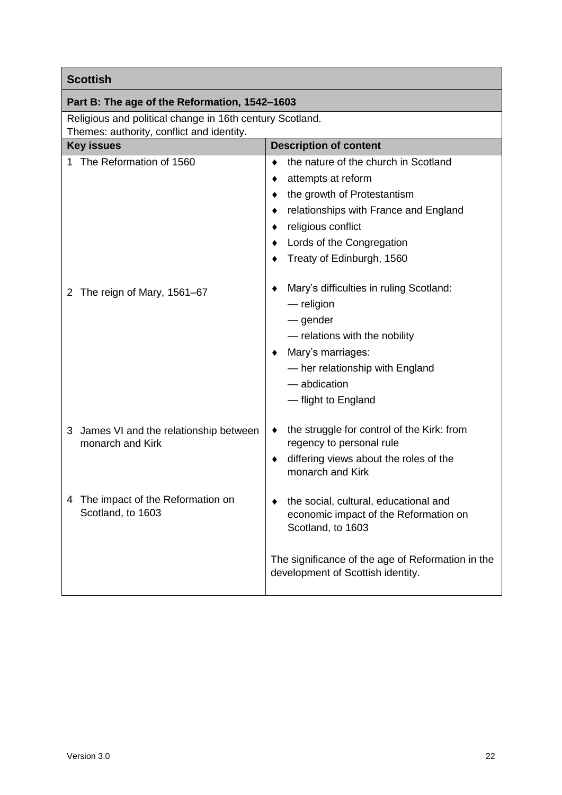| <b>Scottish</b>                                                |                                                                                                                                                                                                                                  |
|----------------------------------------------------------------|----------------------------------------------------------------------------------------------------------------------------------------------------------------------------------------------------------------------------------|
| Part B: The age of the Reformation, 1542-1603                  |                                                                                                                                                                                                                                  |
| Religious and political change in 16th century Scotland.       |                                                                                                                                                                                                                                  |
| Themes: authority, conflict and identity.<br><b>Key issues</b> | <b>Description of content</b>                                                                                                                                                                                                    |
| 1 The Reformation of 1560                                      | the nature of the church in Scotland<br>attempts at reform<br>the growth of Protestantism<br>relationships with France and England<br>religious conflict<br>Lords of the Congregation                                            |
| The reign of Mary, 1561-67<br>2                                | Treaty of Edinburgh, 1560<br>Mary's difficulties in ruling Scotland:<br>$-$ religion<br>— gender<br>- relations with the nobility<br>Mary's marriages:<br>- her relationship with England<br>- abdication<br>- flight to England |
| James VI and the relationship between<br>3<br>monarch and Kirk | the struggle for control of the Kirk: from<br>regency to personal rule<br>differing views about the roles of the<br>monarch and Kirk                                                                                             |
| 4 The impact of the Reformation on<br>Scotland, to 1603        | the social, cultural, educational and<br>economic impact of the Reformation on<br>Scotland, to 1603<br>The significance of the age of Reformation in the<br>development of Scottish identity.                                    |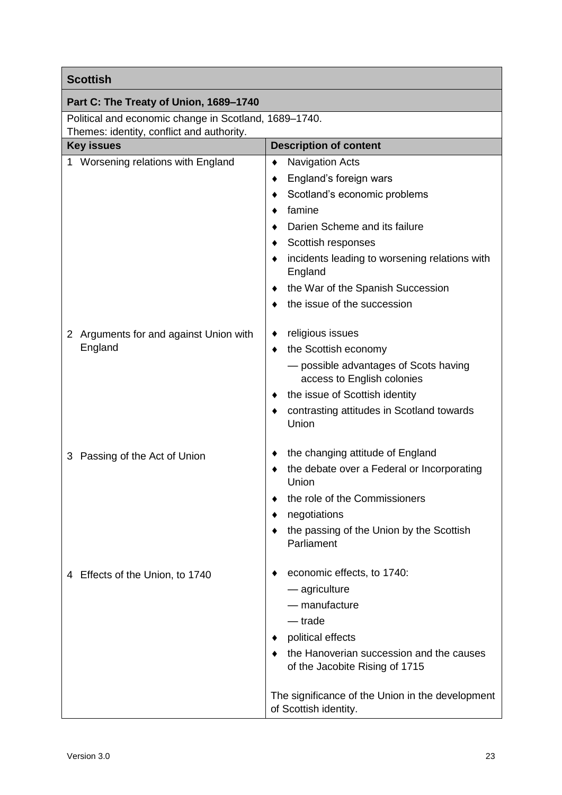| <b>Scottish</b>                                                                                    |                                                                                                                                                                                                                                                                                        |  |
|----------------------------------------------------------------------------------------------------|----------------------------------------------------------------------------------------------------------------------------------------------------------------------------------------------------------------------------------------------------------------------------------------|--|
| Part C: The Treaty of Union, 1689-1740                                                             |                                                                                                                                                                                                                                                                                        |  |
| Political and economic change in Scotland, 1689-1740.<br>Themes: identity, conflict and authority. |                                                                                                                                                                                                                                                                                        |  |
| <b>Key issues</b>                                                                                  | <b>Description of content</b>                                                                                                                                                                                                                                                          |  |
| 1 Worsening relations with England                                                                 | <b>Navigation Acts</b><br>٠<br>England's foreign wars<br>Scotland's economic problems<br>famine<br>Darien Scheme and its failure<br>Scottish responses<br>incidents leading to worsening relations with<br>England<br>the War of the Spanish Succession<br>the issue of the succession |  |
| 2 Arguments for and against Union with<br>England                                                  | religious issues<br>the Scottish economy<br>- possible advantages of Scots having<br>access to English colonies<br>the issue of Scottish identity<br>contrasting attitudes in Scotland towards<br>Union                                                                                |  |
| 3 Passing of the Act of Union                                                                      | the changing attitude of England<br>the debate over a Federal or Incorporating<br>Union<br>the role of the Commissioners<br>negotiations<br>the passing of the Union by the Scottish<br>Parliament                                                                                     |  |
| 4 Effects of the Union, to 1740                                                                    | economic effects, to 1740:<br>- agriculture<br>- manufacture<br>— trade<br>political effects<br>the Hanoverian succession and the causes<br>of the Jacobite Rising of 1715<br>The significance of the Union in the development<br>of Scottish identity.                                |  |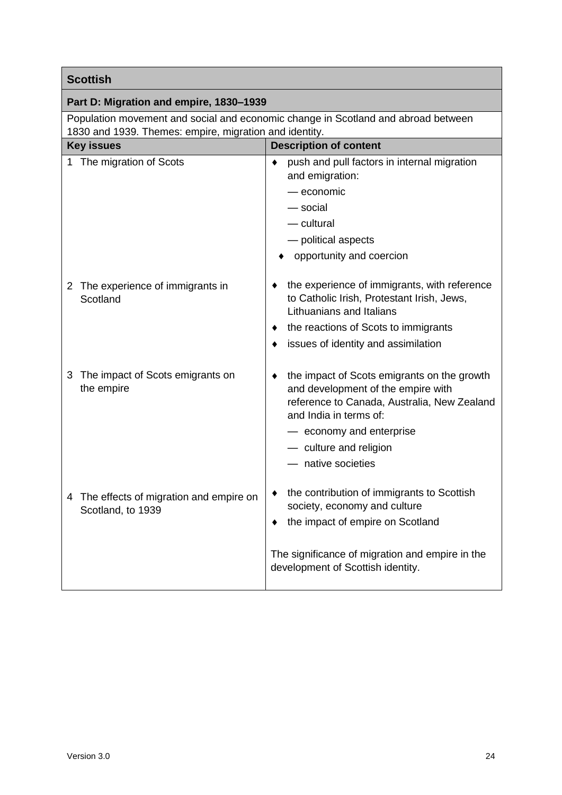| <b>Scottish</b>                                                                                              |                                                                                                                                                                                                                                        |  |
|--------------------------------------------------------------------------------------------------------------|----------------------------------------------------------------------------------------------------------------------------------------------------------------------------------------------------------------------------------------|--|
| Part D: Migration and empire, 1830-1939                                                                      |                                                                                                                                                                                                                                        |  |
| Population movement and social and economic change in Scotland and abroad between                            |                                                                                                                                                                                                                                        |  |
| 1830 and 1939. Themes: empire, migration and identity.<br><b>Description of content</b><br><b>Key issues</b> |                                                                                                                                                                                                                                        |  |
| 1 The migration of Scots                                                                                     | push and pull factors in internal migration<br>٠<br>and emigration:<br>— economic<br>— social<br>— cultural<br>- political aspects<br>opportunity and coercion                                                                         |  |
| The experience of immigrants in<br>2<br>Scotland                                                             | the experience of immigrants, with reference<br>to Catholic Irish, Protestant Irish, Jews,<br>Lithuanians and Italians<br>the reactions of Scots to immigrants<br>issues of identity and assimilation                                  |  |
| The impact of Scots emigrants on<br>3<br>the empire                                                          | the impact of Scots emigrants on the growth<br>and development of the empire with<br>reference to Canada, Australia, New Zealand<br>and India in terms of:<br>- economy and enterprise<br>- culture and religion<br>- native societies |  |
| The effects of migration and empire on<br>4<br>Scotland, to 1939                                             | the contribution of immigrants to Scottish<br>society, economy and culture<br>the impact of empire on Scotland<br>The significance of migration and empire in the<br>development of Scottish identity.                                 |  |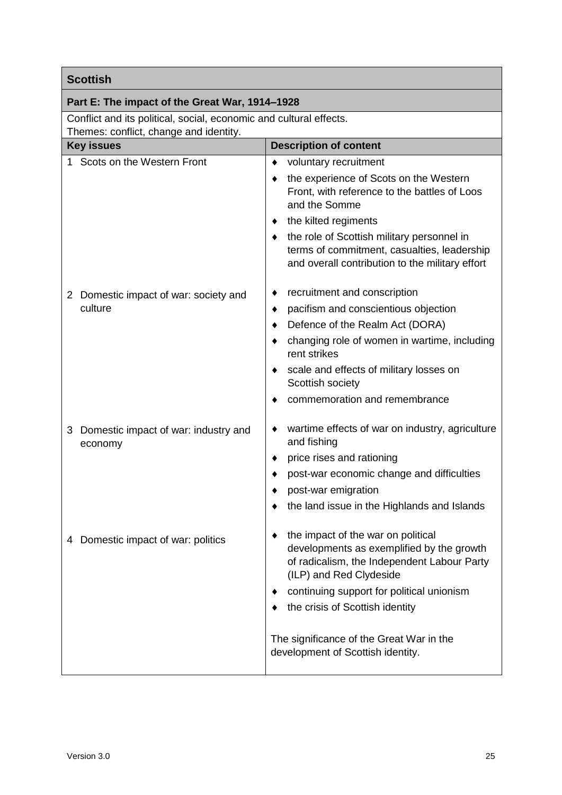| <b>Scottish</b>                                                    |                                                                                                                                                                                                                                           |  |
|--------------------------------------------------------------------|-------------------------------------------------------------------------------------------------------------------------------------------------------------------------------------------------------------------------------------------|--|
| Part E: The impact of the Great War, 1914-1928                     |                                                                                                                                                                                                                                           |  |
| Conflict and its political, social, economic and cultural effects. |                                                                                                                                                                                                                                           |  |
| Themes: conflict, change and identity.                             |                                                                                                                                                                                                                                           |  |
| <b>Key issues</b>                                                  | <b>Description of content</b>                                                                                                                                                                                                             |  |
| 1 Scots on the Western Front                                       | voluntary recruitment                                                                                                                                                                                                                     |  |
|                                                                    | the experience of Scots on the Western<br>Front, with reference to the battles of Loos<br>and the Somme                                                                                                                                   |  |
|                                                                    | the kilted regiments                                                                                                                                                                                                                      |  |
|                                                                    | the role of Scottish military personnel in<br>terms of commitment, casualties, leadership<br>and overall contribution to the military effort                                                                                              |  |
| 2 Domestic impact of war: society and                              | recruitment and conscription<br>٠                                                                                                                                                                                                         |  |
| culture                                                            | pacifism and conscientious objection<br>٠                                                                                                                                                                                                 |  |
|                                                                    | Defence of the Realm Act (DORA)                                                                                                                                                                                                           |  |
|                                                                    | changing role of women in wartime, including<br>rent strikes                                                                                                                                                                              |  |
|                                                                    | scale and effects of military losses on<br>Scottish society                                                                                                                                                                               |  |
|                                                                    | commemoration and remembrance                                                                                                                                                                                                             |  |
| Domestic impact of war: industry and<br>3<br>economy               | wartime effects of war on industry, agriculture<br>and fishing                                                                                                                                                                            |  |
|                                                                    | price rises and rationing                                                                                                                                                                                                                 |  |
|                                                                    | post-war economic change and difficulties                                                                                                                                                                                                 |  |
|                                                                    | post-war emigration                                                                                                                                                                                                                       |  |
|                                                                    | the land issue in the Highlands and Islands                                                                                                                                                                                               |  |
| Domestic impact of war: politics<br>4                              | the impact of the war on political<br>developments as exemplified by the growth<br>of radicalism, the Independent Labour Party<br>(ILP) and Red Clydeside<br>continuing support for political unionism<br>the crisis of Scottish identity |  |
|                                                                    | The significance of the Great War in the<br>development of Scottish identity.                                                                                                                                                             |  |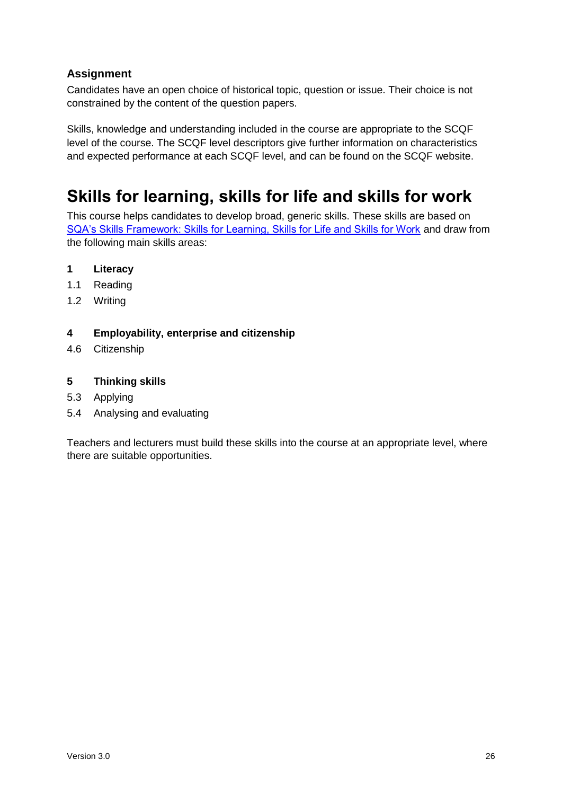#### **Assignment**

Candidates have an open choice of historical topic, question or issue. Their choice is not constrained by the content of the question papers.

Skills, knowledge and understanding included in the course are appropriate to the SCQF level of the course. The SCQF level descriptors give further information on characteristics and expected performance at each SCQF level, and can be found on the SCQF website.

### <span id="page-27-0"></span>**Skills for learning, skills for life and skills for work**

This course helps candidates to develop broad, generic skills. These skills are based on [SQA's Skills Framework: Skills for Learning, Skills for Life and Skills for Work](http://www.sqa.org.uk/sqa/63101.html) and draw from the following main skills areas:

#### **1 Literacy**

- 1.1 Reading
- 1.2 Writing

#### **4 Employability, enterprise and citizenship**

4.6 Citizenship

#### **5 Thinking skills**

- 5.3 Applying
- 5.4 Analysing and evaluating

Teachers and lecturers must build these skills into the course at an appropriate level, where there are suitable opportunities.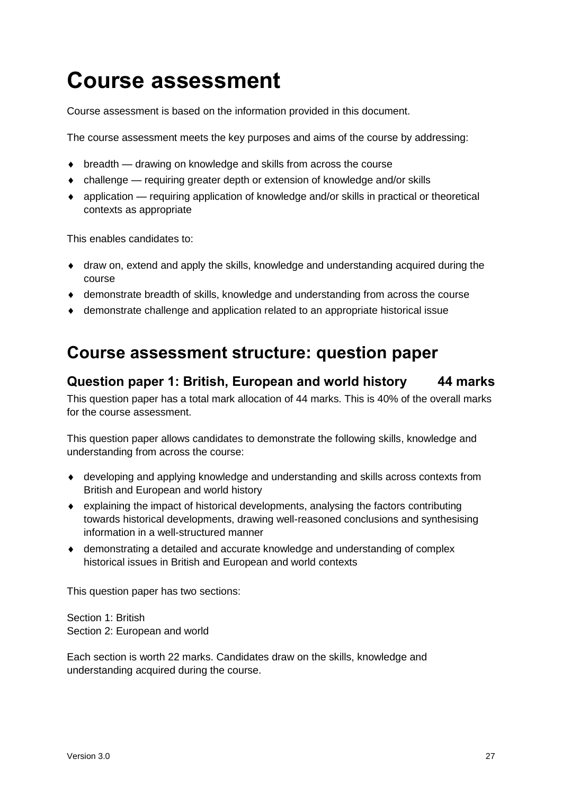# <span id="page-28-0"></span>**Course assessment**

Course assessment is based on the information provided in this document.

The course assessment meets the key purposes and aims of the course by addressing:

- ◆ breadth drawing on knowledge and skills from across the course
- challenge requiring greater depth or extension of knowledge and/or skills
- application requiring application of knowledge and/or skills in practical or theoretical contexts as appropriate

This enables candidates to:

- draw on, extend and apply the skills, knowledge and understanding acquired during the course
- demonstrate breadth of skills, knowledge and understanding from across the course
- demonstrate challenge and application related to an appropriate historical issue

### <span id="page-28-1"></span>**Course assessment structure: question paper**

#### **Question paper 1: British, European and world history 44 marks**

This question paper has a total mark allocation of 44 marks. This is 40% of the overall marks for the course assessment.

This question paper allows candidates to demonstrate the following skills, knowledge and understanding from across the course:

- developing and applying knowledge and understanding and skills across contexts from British and European and world history
- explaining the impact of historical developments, analysing the factors contributing towards historical developments, drawing well-reasoned conclusions and synthesising information in a well-structured manner
- demonstrating a detailed and accurate knowledge and understanding of complex historical issues in British and European and world contexts

This question paper has two sections:

Section 1: British Section 2: European and world

Each section is worth 22 marks. Candidates draw on the skills, knowledge and understanding acquired during the course.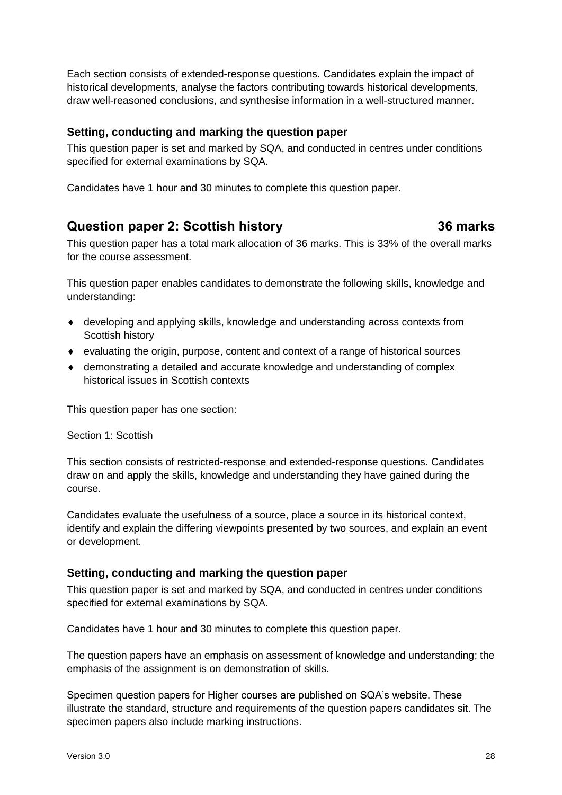Each section consists of extended-response questions. Candidates explain the impact of historical developments, analyse the factors contributing towards historical developments, draw well-reasoned conclusions, and synthesise information in a well-structured manner.

#### **Setting, conducting and marking the question paper**

This question paper is set and marked by SQA, and conducted in centres under conditions specified for external examinations by SQA.

Candidates have 1 hour and 30 minutes to complete this question paper.

#### **Question paper 2: Scottish history 36 marks**

This question paper has a total mark allocation of 36 marks. This is 33% of the overall marks for the course assessment.

This question paper enables candidates to demonstrate the following skills, knowledge and understanding:

- developing and applying skills, knowledge and understanding across contexts from Scottish history
- evaluating the origin, purpose, content and context of a range of historical sources
- demonstrating a detailed and accurate knowledge and understanding of complex historical issues in Scottish contexts

This question paper has one section:

#### Section 1: Scottish

This section consists of restricted-response and extended-response questions. Candidates draw on and apply the skills, knowledge and understanding they have gained during the course.

Candidates evaluate the usefulness of a source, place a source in its historical context, identify and explain the differing viewpoints presented by two sources, and explain an event or development.

#### **Setting, conducting and marking the question paper**

This question paper is set and marked by SQA, and conducted in centres under conditions specified for external examinations by SQA.

Candidates have 1 hour and 30 minutes to complete this question paper.

The question papers have an emphasis on assessment of knowledge and understanding; the emphasis of the assignment is on demonstration of skills.

Specimen question papers for Higher courses are published on SQA's website. These illustrate the standard, structure and requirements of the question papers candidates sit. The specimen papers also include marking instructions.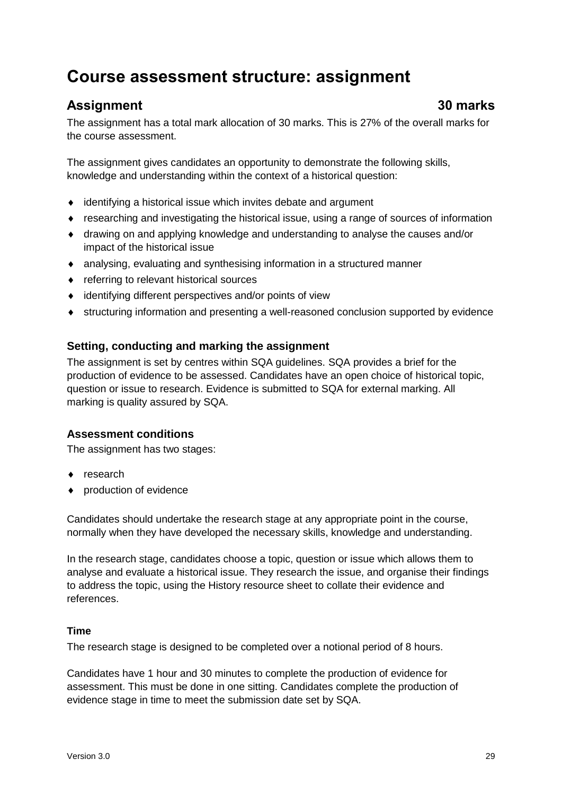### <span id="page-30-0"></span>**Course assessment structure: assignment**

### **Assignment 30 marks**

The assignment has a total mark allocation of 30 marks. This is 27% of the overall marks for the course assessment.

The assignment gives candidates an opportunity to demonstrate the following skills, knowledge and understanding within the context of a historical question:

- identifying a historical issue which invites debate and argument
- researching and investigating the historical issue, using a range of sources of information
- drawing on and applying knowledge and understanding to analyse the causes and/or impact of the historical issue
- analysing, evaluating and synthesising information in a structured manner
- ◆ referring to relevant historical sources
- identifying different perspectives and/or points of view
- structuring information and presenting a well-reasoned conclusion supported by evidence

#### **Setting, conducting and marking the assignment**

The assignment is set by centres within SQA guidelines. SQA provides a brief for the production of evidence to be assessed. Candidates have an open choice of historical topic, question or issue to research. Evidence is submitted to SQA for external marking. All marking is quality assured by SQA.

#### **Assessment conditions**

The assignment has two stages:

- ◆ research
- production of evidence

Candidates should undertake the research stage at any appropriate point in the course, normally when they have developed the necessary skills, knowledge and understanding.

In the research stage, candidates choose a topic, question or issue which allows them to analyse and evaluate a historical issue. They research the issue, and organise their findings to address the topic, using the History resource sheet to collate their evidence and references.

#### **Time**

The research stage is designed to be completed over a notional period of 8 hours.

Candidates have 1 hour and 30 minutes to complete the production of evidence for assessment. This must be done in one sitting. Candidates complete the production of evidence stage in time to meet the submission date set by SQA.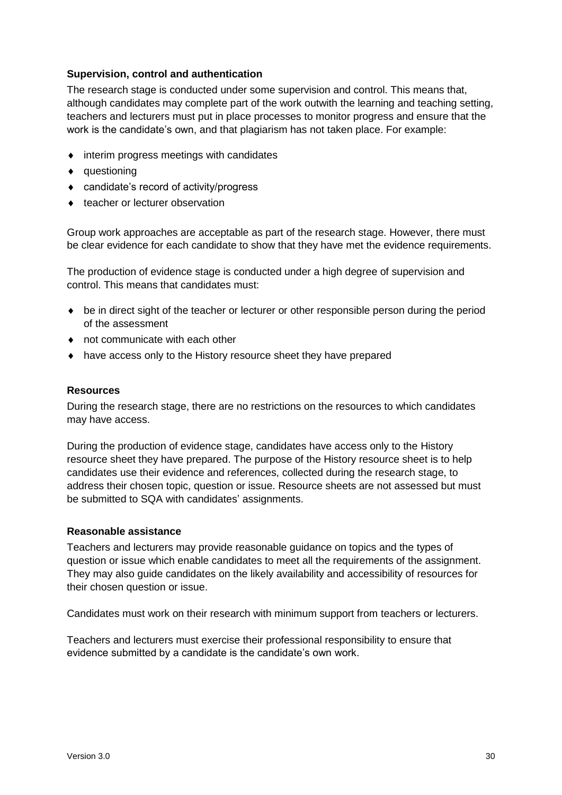#### **Supervision, control and authentication**

The research stage is conducted under some supervision and control. This means that, although candidates may complete part of the work outwith the learning and teaching setting, teachers and lecturers must put in place processes to monitor progress and ensure that the work is the candidate's own, and that plagiarism has not taken place. For example:

- $\bullet$  interim progress meetings with candidates
- ◆ questioning
- candidate's record of activity/progress
- ◆ teacher or lecturer observation

Group work approaches are acceptable as part of the research stage. However, there must be clear evidence for each candidate to show that they have met the evidence requirements.

The production of evidence stage is conducted under a high degree of supervision and control. This means that candidates must:

- be in direct sight of the teacher or lecturer or other responsible person during the period of the assessment
- not communicate with each other
- have access only to the History resource sheet they have prepared

#### **Resources**

During the research stage, there are no restrictions on the resources to which candidates may have access.

During the production of evidence stage, candidates have access only to the History resource sheet they have prepared. The purpose of the History resource sheet is to help candidates use their evidence and references, collected during the research stage, to address their chosen topic, question or issue. Resource sheets are not assessed but must be submitted to SQA with candidates' assignments.

#### **Reasonable assistance**

Teachers and lecturers may provide reasonable guidance on topics and the types of question or issue which enable candidates to meet all the requirements of the assignment. They may also guide candidates on the likely availability and accessibility of resources for their chosen question or issue.

Candidates must work on their research with minimum support from teachers or lecturers.

Teachers and lecturers must exercise their professional responsibility to ensure that evidence submitted by a candidate is the candidate's own work.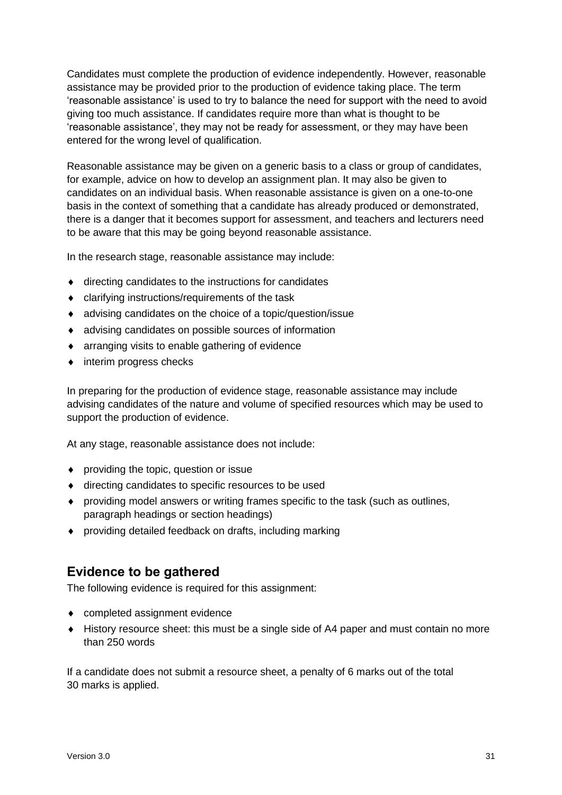Candidates must complete the production of evidence independently. However, reasonable assistance may be provided prior to the production of evidence taking place. The term 'reasonable assistance' is used to try to balance the need for support with the need to avoid giving too much assistance. If candidates require more than what is thought to be 'reasonable assistance', they may not be ready for assessment, or they may have been entered for the wrong level of qualification.

Reasonable assistance may be given on a generic basis to a class or group of candidates, for example, advice on how to develop an assignment plan. It may also be given to candidates on an individual basis. When reasonable assistance is given on a one-to-one basis in the context of something that a candidate has already produced or demonstrated, there is a danger that it becomes support for assessment, and teachers and lecturers need to be aware that this may be going beyond reasonable assistance.

In the research stage, reasonable assistance may include:

- directing candidates to the instructions for candidates
- clarifying instructions/requirements of the task
- advising candidates on the choice of a topic/question/issue
- advising candidates on possible sources of information
- arranging visits to enable gathering of evidence
- interim progress checks

In preparing for the production of evidence stage, reasonable assistance may include advising candidates of the nature and volume of specified resources which may be used to support the production of evidence.

At any stage, reasonable assistance does not include:

- providing the topic, question or issue
- $\bullet$  directing candidates to specific resources to be used
- providing model answers or writing frames specific to the task (such as outlines, paragraph headings or section headings)
- providing detailed feedback on drafts, including marking

#### **Evidence to be gathered**

The following evidence is required for this assignment:

- completed assignment evidence
- History resource sheet: this must be a single side of A4 paper and must contain no more than 250 words

If a candidate does not submit a resource sheet, a penalty of 6 marks out of the total 30 marks is applied.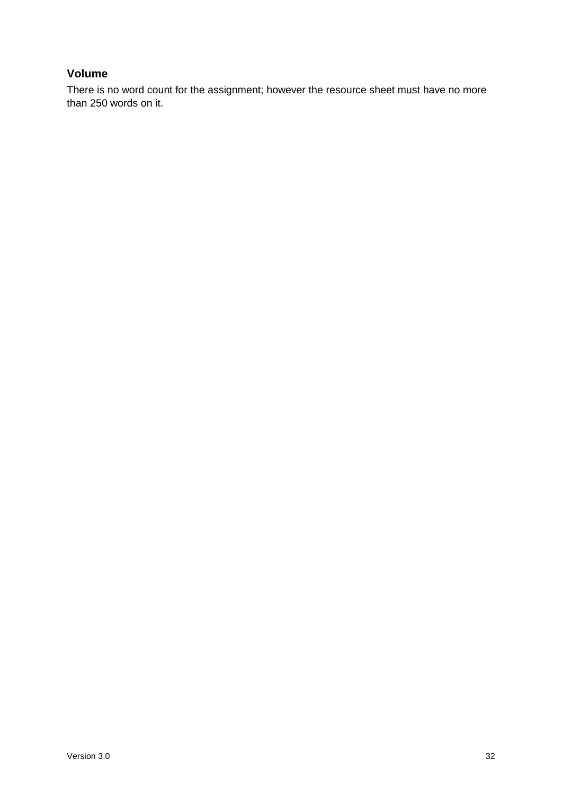#### **Volume**

There is no word count for the assignment; however the resource sheet must have no more than 250 words on it.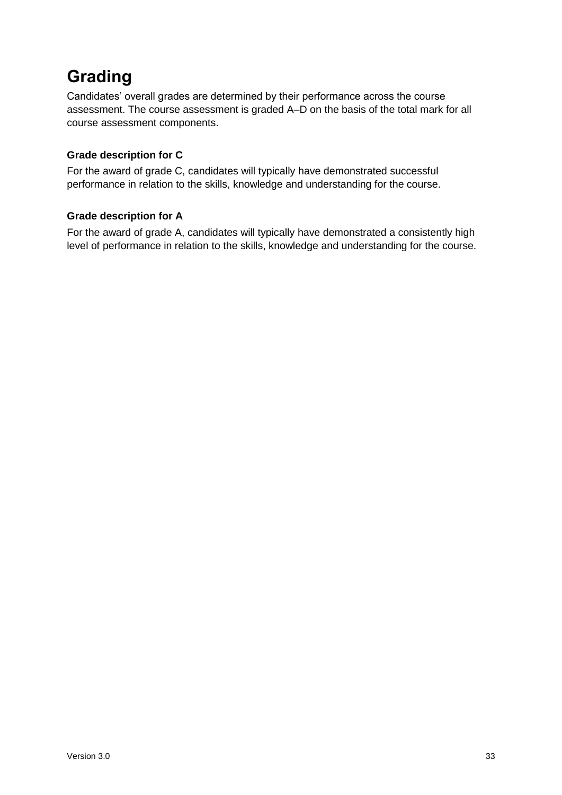## <span id="page-34-0"></span>**Grading**

Candidates' overall grades are determined by their performance across the course assessment. The course assessment is graded A–D on the basis of the total mark for all course assessment components.

#### **Grade description for C**

For the award of grade C, candidates will typically have demonstrated successful performance in relation to the skills, knowledge and understanding for the course.

#### **Grade description for A**

For the award of grade A, candidates will typically have demonstrated a consistently high level of performance in relation to the skills, knowledge and understanding for the course.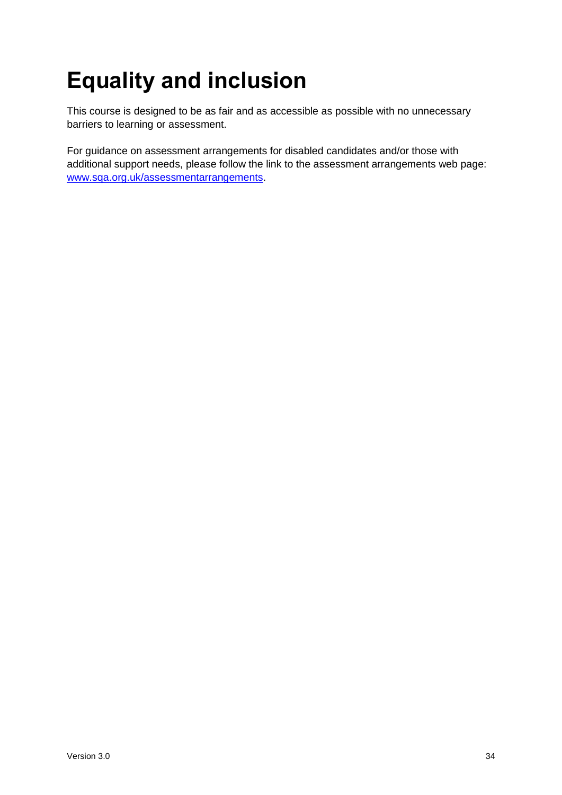# <span id="page-35-0"></span>**Equality and inclusion**

This course is designed to be as fair and as accessible as possible with no unnecessary barriers to learning or assessment.

For guidance on assessment arrangements for disabled candidates and/or those with additional support needs, please follow the link to the assessment arrangements web page: [www.sqa.org.uk/assessmentarrangements.](http://www.sqa.org.uk/assessmentarrangements)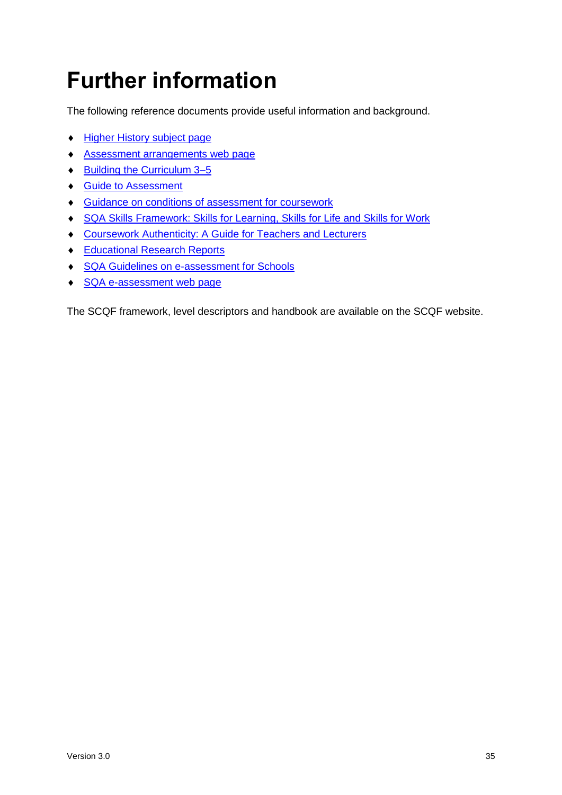# <span id="page-36-0"></span>**Further information**

The following reference documents provide useful information and background.

- [Higher History subject page](http://www.sqa.org.uk/sqa/47923.html)
- [Assessment arrangements web page](http://www.sqa.org.uk/assessmentarrangements)
- ◆ Building the Curriculum 3-5
- ◆ [Guide to Assessment](http://www.sqa.org.uk/sqa/2424.html)
- Guidance on conditions of [assessment for coursework](http://www.sqa.org.uk/sqa/files_ccc/Guidance_on_conditions_of_assessment_for_coursework.pdf)
- [SQA Skills Framework: Skills for Learning, Skills for Life and Skills for Work](http://www.sqa.org.uk/sqa/63101.html)
- [Coursework Authenticity: A Guide for Teachers and Lecturers](http://www.sqa.org.uk/sqa/1418.html)
- ◆ [Educational Research Reports](http://www.sqa.org.uk/sqa/35847.958.html)
- ◆ [SQA Guidelines on e-assessment for Schools](http://www.sqa.org.uk/sqa/2424.html)
- ◆ [SQA e-assessment web page](http://www.sqa.org.uk/sqa/68750.html)

The SCQF framework, level descriptors and handbook are available on the SCQF website.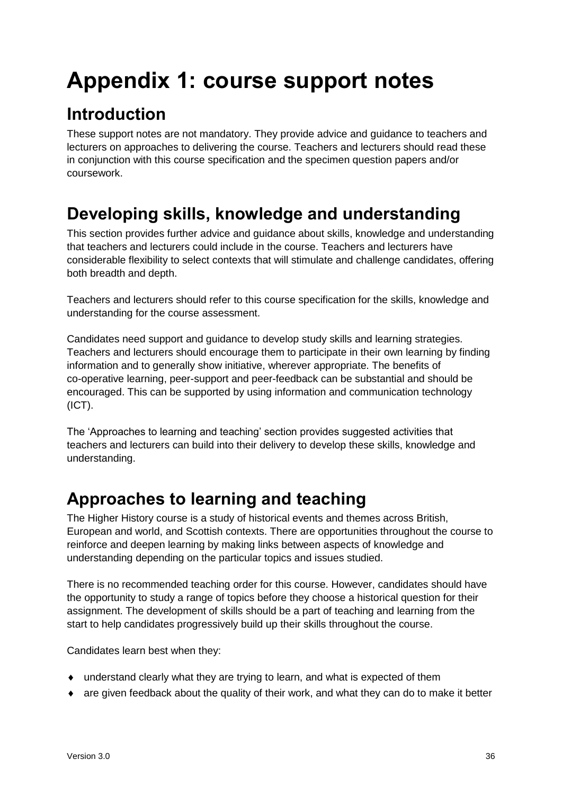# <span id="page-37-0"></span>**Appendix 1: course support notes**

## <span id="page-37-1"></span>**Introduction**

These support notes are not mandatory. They provide advice and guidance to teachers and lecturers on approaches to delivering the course. Teachers and lecturers should read these in conjunction with this course specification and the specimen question papers and/or coursework.

### <span id="page-37-2"></span>**Developing skills, knowledge and understanding**

This section provides further advice and guidance about skills, knowledge and understanding that teachers and lecturers could include in the course. Teachers and lecturers have considerable flexibility to select contexts that will stimulate and challenge candidates, offering both breadth and depth.

Teachers and lecturers should refer to this course specification for the skills, knowledge and understanding for the course assessment.

Candidates need support and guidance to develop study skills and learning strategies. Teachers and lecturers should encourage them to participate in their own learning by finding information and to generally show initiative, wherever appropriate. The benefits of co-operative learning, peer-support and peer-feedback can be substantial and should be encouraged. This can be supported by using information and communication technology (ICT).

The 'Approaches to learning and teaching' section provides suggested activities that teachers and lecturers can build into their delivery to develop these skills, knowledge and understanding.

### <span id="page-37-3"></span>**Approaches to learning and teaching**

The Higher History course is a study of historical events and themes across British, European and world, and Scottish contexts. There are opportunities throughout the course to reinforce and deepen learning by making links between aspects of knowledge and understanding depending on the particular topics and issues studied.

There is no recommended teaching order for this course. However, candidates should have the opportunity to study a range of topics before they choose a historical question for their assignment. The development of skills should be a part of teaching and learning from the start to help candidates progressively build up their skills throughout the course.

Candidates learn best when they:

- understand clearly what they are trying to learn, and what is expected of them
- are given feedback about the quality of their work, and what they can do to make it better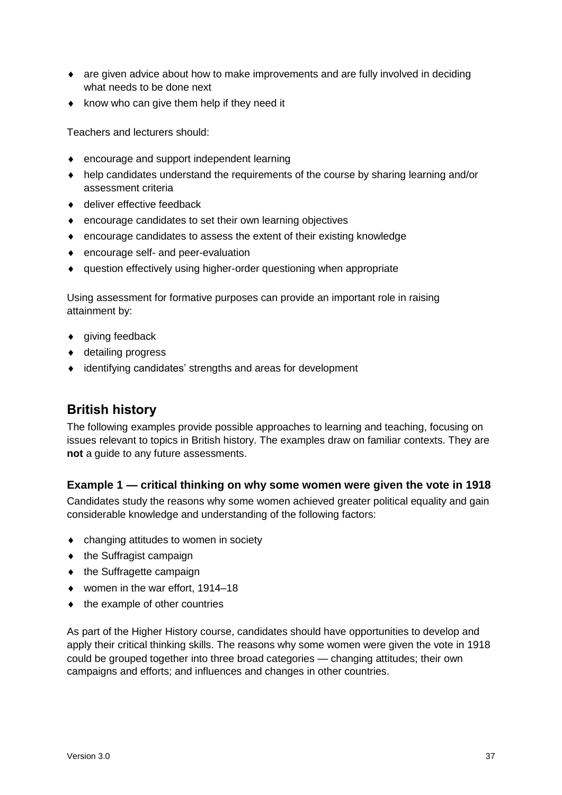- are given advice about how to make improvements and are fully involved in deciding what needs to be done next
- $\bullet$  know who can give them help if they need it

Teachers and lecturers should:

- encourage and support independent learning
- help candidates understand the requirements of the course by sharing learning and/or assessment criteria
- ◆ deliver effective feedback
- encourage candidates to set their own learning objectives
- encourage candidates to assess the extent of their existing knowledge
- encourage self- and peer-evaluation
- question effectively using higher-order questioning when appropriate

Using assessment for formative purposes can provide an important role in raising attainment by:

- ◆ giving feedback
- ◆ detailing progress
- identifying candidates' strengths and areas for development

#### **British history**

The following examples provide possible approaches to learning and teaching, focusing on issues relevant to topics in British history. The examples draw on familiar contexts. They are **not** a guide to any future assessments.

#### **Example 1 — critical thinking on why some women were given the vote in 1918**

Candidates study the reasons why some women achieved greater political equality and gain considerable knowledge and understanding of the following factors:

- changing attitudes to women in society
- $\bullet$  the Suffragist campaign
- $\bullet$  the Suffragette campaign
- ◆ women in the war effort, 1914–18
- $\bullet$  the example of other countries

As part of the Higher History course, candidates should have opportunities to develop and apply their critical thinking skills. The reasons why some women were given the vote in 1918 could be grouped together into three broad categories — changing attitudes; their own campaigns and efforts; and influences and changes in other countries.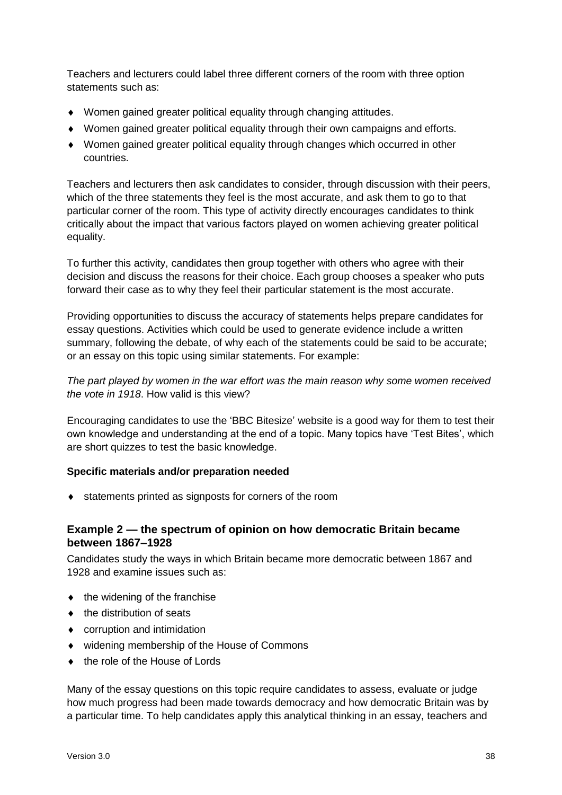Teachers and lecturers could label three different corners of the room with three option statements such as:

- Women gained greater political equality through changing attitudes.
- Women gained greater political equality through their own campaigns and efforts.
- Women gained greater political equality through changes which occurred in other countries.

Teachers and lecturers then ask candidates to consider, through discussion with their peers, which of the three statements they feel is the most accurate, and ask them to go to that particular corner of the room. This type of activity directly encourages candidates to think critically about the impact that various factors played on women achieving greater political equality.

To further this activity, candidates then group together with others who agree with their decision and discuss the reasons for their choice. Each group chooses a speaker who puts forward their case as to why they feel their particular statement is the most accurate.

Providing opportunities to discuss the accuracy of statements helps prepare candidates for essay questions. Activities which could be used to generate evidence include a written summary, following the debate, of why each of the statements could be said to be accurate; or an essay on this topic using similar statements. For example:

*The part played by women in the war effort was the main reason why some women received the vote in 1918*. How valid is this view?

Encouraging candidates to use the 'BBC Bitesize' website is a good way for them to test their own knowledge and understanding at the end of a topic. Many topics have 'Test Bites', which are short quizzes to test the basic knowledge.

#### **Specific materials and/or preparation needed**

statements printed as signposts for corners of the room

#### **Example 2 — the spectrum of opinion on how democratic Britain became between 1867–1928**

Candidates study the ways in which Britain became more democratic between 1867 and 1928 and examine issues such as:

- $\bullet$  the widening of the franchise
- $\bullet$  the distribution of seats
- corruption and intimidation
- widening membership of the House of Commons
- ◆ the role of the House of Lords

Many of the essay questions on this topic require candidates to assess, evaluate or judge how much progress had been made towards democracy and how democratic Britain was by a particular time. To help candidates apply this analytical thinking in an essay, teachers and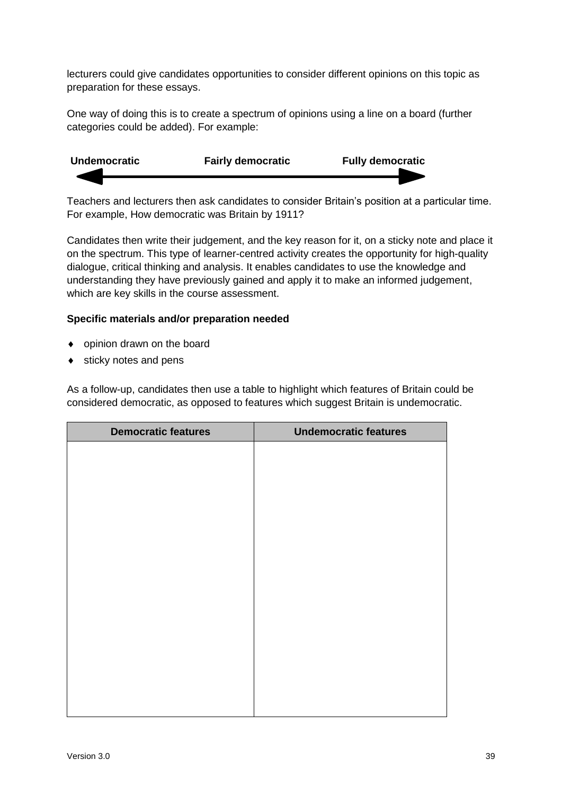lecturers could give candidates opportunities to consider different opinions on this topic as preparation for these essays.

One way of doing this is to create a spectrum of opinions using a line on a board (further categories could be added). For example:



Teachers and lecturers then ask candidates to consider Britain's position at a particular time. For example, How democratic was Britain by 1911?

Candidates then write their judgement, and the key reason for it, on a sticky note and place it on the spectrum. This type of learner-centred activity creates the opportunity for high-quality dialogue, critical thinking and analysis. It enables candidates to use the knowledge and understanding they have previously gained and apply it to make an informed judgement, which are key skills in the course assessment.

#### **Specific materials and/or preparation needed**

- opinion drawn on the board
- $\bullet$  sticky notes and pens

As a follow-up, candidates then use a table to highlight which features of Britain could be considered democratic, as opposed to features which suggest Britain is undemocratic.

| <b>Democratic features</b> | <b>Undemocratic features</b> |  |
|----------------------------|------------------------------|--|
|                            |                              |  |
|                            |                              |  |
|                            |                              |  |
|                            |                              |  |
|                            |                              |  |
|                            |                              |  |
|                            |                              |  |
|                            |                              |  |
|                            |                              |  |
|                            |                              |  |
|                            |                              |  |
|                            |                              |  |
|                            |                              |  |
|                            |                              |  |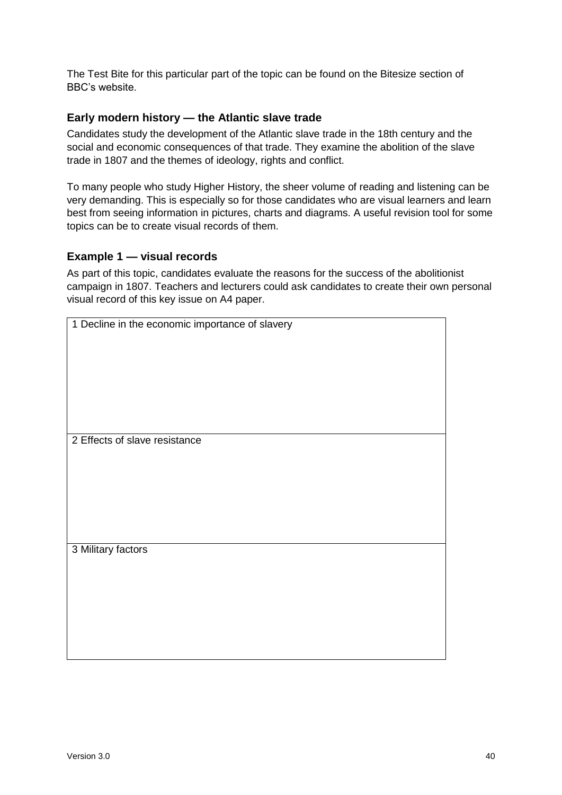The Test Bite for this particular part of the topic can be found on the Bitesize section of BBC's website.

#### **Early modern history — the Atlantic slave trade**

Candidates study the development of the Atlantic slave trade in the 18th century and the social and economic consequences of that trade. They examine the abolition of the slave trade in 1807 and the themes of ideology, rights and conflict.

To many people who study Higher History, the sheer volume of reading and listening can be very demanding. This is especially so for those candidates who are visual learners and learn best from seeing information in pictures, charts and diagrams. A useful revision tool for some topics can be to create visual records of them.

#### **Example 1 — visual records**

As part of this topic, candidates evaluate the reasons for the success of the abolitionist campaign in 1807. Teachers and lecturers could ask candidates to create their own personal visual record of this key issue on A4 paper.

| 1 Decline in the economic importance of slavery |  |
|-------------------------------------------------|--|
|                                                 |  |
|                                                 |  |
|                                                 |  |
|                                                 |  |
|                                                 |  |
|                                                 |  |
|                                                 |  |
|                                                 |  |
|                                                 |  |
|                                                 |  |
|                                                 |  |
| 2 Effects of slave resistance                   |  |
|                                                 |  |
|                                                 |  |
|                                                 |  |
|                                                 |  |
|                                                 |  |
|                                                 |  |
|                                                 |  |
|                                                 |  |
|                                                 |  |
|                                                 |  |
| 3 Military factors                              |  |
|                                                 |  |
|                                                 |  |
|                                                 |  |
|                                                 |  |
|                                                 |  |
|                                                 |  |
|                                                 |  |
|                                                 |  |
|                                                 |  |
|                                                 |  |
|                                                 |  |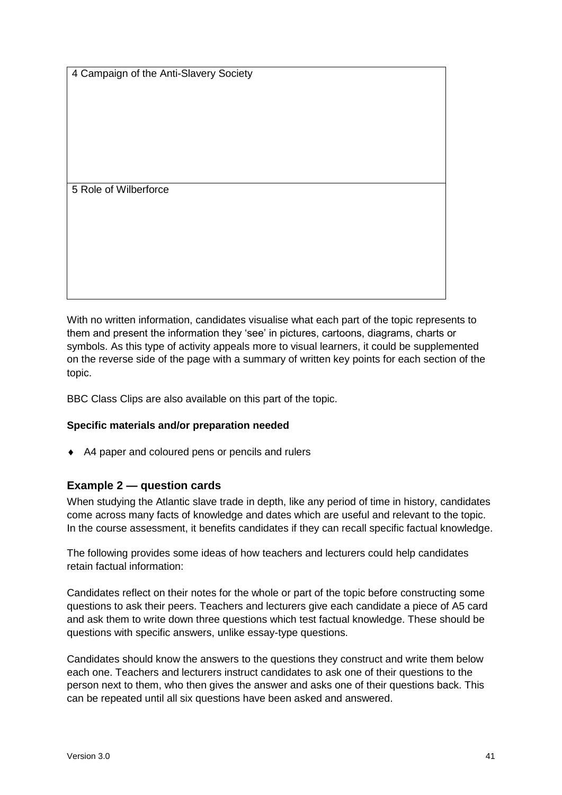4 Campaign of the Anti-Slavery Society

5 Role of Wilberforce

With no written information, candidates visualise what each part of the topic represents to them and present the information they 'see' in pictures, cartoons, diagrams, charts or symbols. As this type of activity appeals more to visual learners, it could be supplemented on the reverse side of the page with a summary of written key points for each section of the topic.

BBC Class Clips are also available on this part of the topic.

#### **Specific materials and/or preparation needed**

◆ A4 paper and coloured pens or pencils and rulers

#### **Example 2 — question cards**

When studying the Atlantic slave trade in depth, like any period of time in history, candidates come across many facts of knowledge and dates which are useful and relevant to the topic. In the course assessment, it benefits candidates if they can recall specific factual knowledge.

The following provides some ideas of how teachers and lecturers could help candidates retain factual information:

Candidates reflect on their notes for the whole or part of the topic before constructing some questions to ask their peers. Teachers and lecturers give each candidate a piece of A5 card and ask them to write down three questions which test factual knowledge. These should be questions with specific answers, unlike essay-type questions.

Candidates should know the answers to the questions they construct and write them below each one. Teachers and lecturers instruct candidates to ask one of their questions to the person next to them, who then gives the answer and asks one of their questions back. This can be repeated until all six questions have been asked and answered.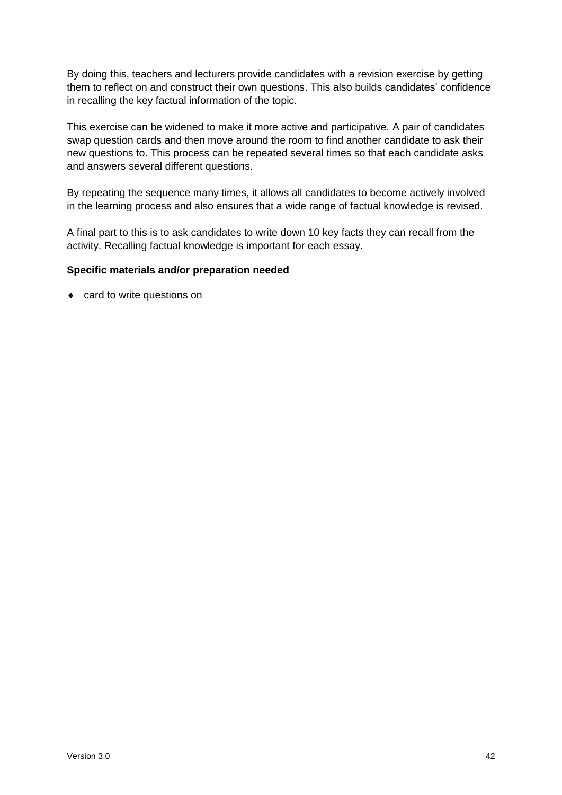By doing this, teachers and lecturers provide candidates with a revision exercise by getting them to reflect on and construct their own questions. This also builds candidates' confidence in recalling the key factual information of the topic.

This exercise can be widened to make it more active and participative. A pair of candidates swap question cards and then move around the room to find another candidate to ask their new questions to. This process can be repeated several times so that each candidate asks and answers several different questions.

By repeating the sequence many times, it allows all candidates to become actively involved in the learning process and also ensures that a wide range of factual knowledge is revised.

A final part to this is to ask candidates to write down 10 key facts they can recall from the activity. Recalling factual knowledge is important for each essay.

#### **Specific materials and/or preparation needed**

• card to write questions on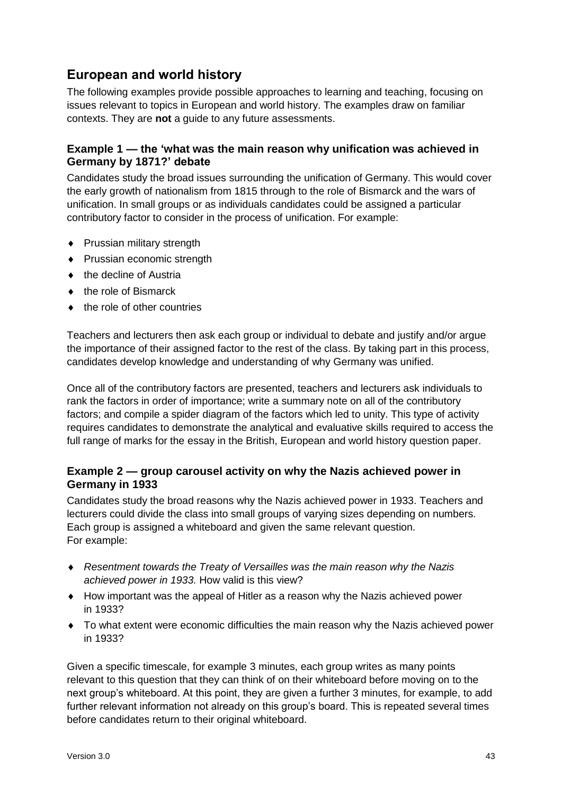### **European and world history**

The following examples provide possible approaches to learning and teaching, focusing on issues relevant to topics in European and world history. The examples draw on familiar contexts. They are **not** a guide to any future assessments.

#### **Example 1 — the 'what was the main reason why unification was achieved in Germany by 1871?' debate**

Candidates study the broad issues surrounding the unification of Germany. This would cover the early growth of nationalism from 1815 through to the role of Bismarck and the wars of unification. In small groups or as individuals candidates could be assigned a particular contributory factor to consider in the process of unification. For example:

- ◆ Prussian military strength
- Prussian economic strength
- ◆ the decline of Austria
- ◆ the role of Bismarck
- ◆ the role of other countries

Teachers and lecturers then ask each group or individual to debate and justify and/or argue the importance of their assigned factor to the rest of the class. By taking part in this process, candidates develop knowledge and understanding of why Germany was unified.

Once all of the contributory factors are presented, teachers and lecturers ask individuals to rank the factors in order of importance; write a summary note on all of the contributory factors; and compile a spider diagram of the factors which led to unity. This type of activity requires candidates to demonstrate the analytical and evaluative skills required to access the full range of marks for the essay in the British, European and world history question paper.

#### **Example 2 — group carousel activity on why the Nazis achieved power in Germany in 1933**

Candidates study the broad reasons why the Nazis achieved power in 1933. Teachers and lecturers could divide the class into small groups of varying sizes depending on numbers. Each group is assigned a whiteboard and given the same relevant question. For example:

- *Resentment towards the Treaty of Versailles was the main reason why the Nazis achieved power in 1933.* How valid is this view?
- How important was the appeal of Hitler as a reason why the Nazis achieved power in 1933?
- To what extent were economic difficulties the main reason why the Nazis achieved power in 1933?

Given a specific timescale, for example 3 minutes, each group writes as many points relevant to this question that they can think of on their whiteboard before moving on to the next group's whiteboard. At this point, they are given a further 3 minutes, for example, to add further relevant information not already on this group's board. This is repeated several times before candidates return to their original whiteboard.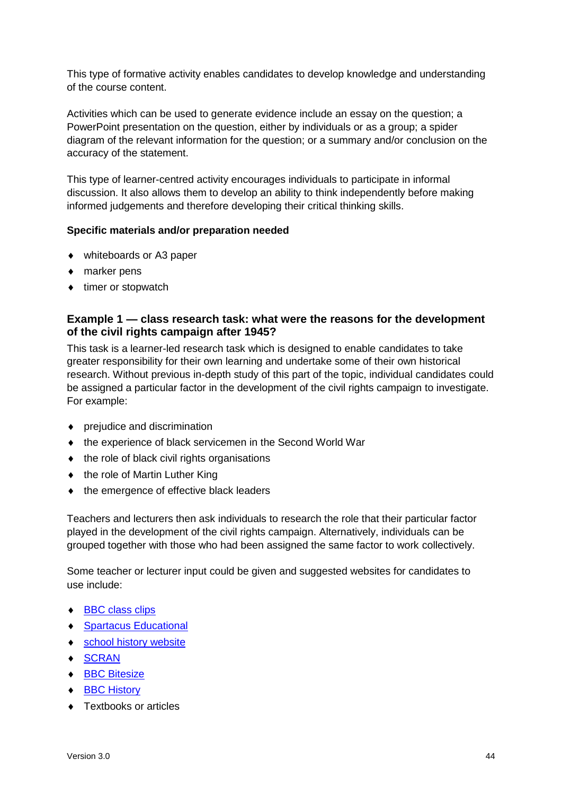This type of formative activity enables candidates to develop knowledge and understanding of the course content.

Activities which can be used to generate evidence include an essay on the question; a PowerPoint presentation on the question, either by individuals or as a group; a spider diagram of the relevant information for the question; or a summary and/or conclusion on the accuracy of the statement.

This type of learner-centred activity encourages individuals to participate in informal discussion. It also allows them to develop an ability to think independently before making informed judgements and therefore developing their critical thinking skills.

#### **Specific materials and/or preparation needed**

- whiteboards or A3 paper
- ◆ marker pens
- $\bullet$  timer or stopwatch

#### **Example 1 — class research task: what were the reasons for the development of the civil rights campaign after 1945?**

This task is a learner-led research task which is designed to enable candidates to take greater responsibility for their own learning and undertake some of their own historical research. Without previous in-depth study of this part of the topic, individual candidates could be assigned a particular factor in the development of the civil rights campaign to investigate. For example:

- prejudice and discrimination
- ◆ the experience of black servicemen in the Second World War
- $\bullet$  the role of black civil rights organisations
- the role of Martin Luther King
- $\bullet$  the emergence of effective black leaders

Teachers and lecturers then ask individuals to research the role that their particular factor played in the development of the civil rights campaign. Alternatively, individuals can be grouped together with those who had been assigned the same factor to work collectively.

Some teacher or lecturer input could be given and suggested websites for candidates to use include:

- ◆ [BBC class clips](http://www.bbc.co.uk/learningzone/clips/)
- ◆ [Spartacus Educational](http://spartacus-educational.com/)
- ◆ [school history website](http://www.schoolhistory.co.uk/)
- ◆ [SCRAN](https://www.scran.ac.uk/)
- ◆ [BBC Bitesize](http://www.bbc.co.uk/scotland/learning/bitesize/higher)
- ◆ [BBC History](https://www.bbc.co.uk/history)
- ◆ Textbooks or articles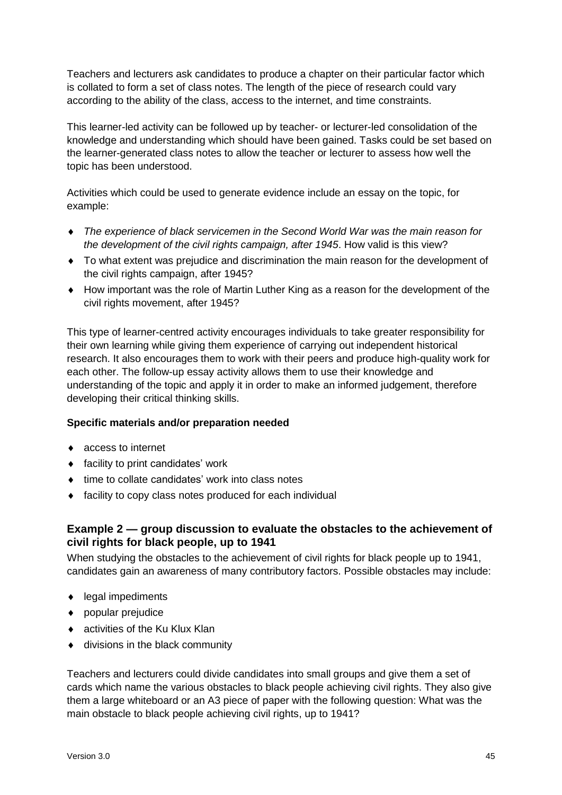Teachers and lecturers ask candidates to produce a chapter on their particular factor which is collated to form a set of class notes. The length of the piece of research could vary according to the ability of the class, access to the internet, and time constraints.

This learner-led activity can be followed up by teacher- or lecturer-led consolidation of the knowledge and understanding which should have been gained. Tasks could be set based on the learner-generated class notes to allow the teacher or lecturer to assess how well the topic has been understood.

Activities which could be used to generate evidence include an essay on the topic, for example:

- *The experience of black servicemen in the Second World War was the main reason for the development of the civil rights campaign, after 1945*. How valid is this view?
- To what extent was prejudice and discrimination the main reason for the development of the civil rights campaign, after 1945?
- How important was the role of Martin Luther King as a reason for the development of the civil rights movement, after 1945?

This type of learner-centred activity encourages individuals to take greater responsibility for their own learning while giving them experience of carrying out independent historical research. It also encourages them to work with their peers and produce high-quality work for each other. The follow-up essay activity allows them to use their knowledge and understanding of the topic and apply it in order to make an informed judgement, therefore developing their critical thinking skills.

#### **Specific materials and/or preparation needed**

- ◆ access to internet
- ◆ facility to print candidates' work
- $\bullet$  time to collate candidates' work into class notes
- facility to copy class notes produced for each individual

#### **Example 2 — group discussion to evaluate the obstacles to the achievement of civil rights for black people, up to 1941**

When studying the obstacles to the achievement of civil rights for black people up to 1941, candidates gain an awareness of many contributory factors. Possible obstacles may include:

- ◆ legal impediments
- popular prejudice
- ◆ activities of the Ku Klux Klan
- $\bullet$  divisions in the black community

Teachers and lecturers could divide candidates into small groups and give them a set of cards which name the various obstacles to black people achieving civil rights. They also give them a large whiteboard or an A3 piece of paper with the following question: What was the main obstacle to black people achieving civil rights, up to 1941?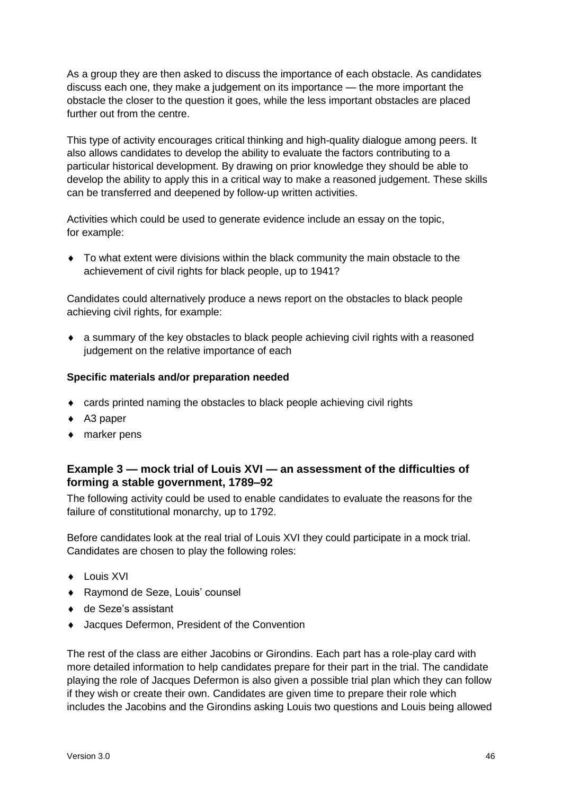As a group they are then asked to discuss the importance of each obstacle. As candidates discuss each one, they make a judgement on its importance — the more important the obstacle the closer to the question it goes, while the less important obstacles are placed further out from the centre.

This type of activity encourages critical thinking and high-quality dialogue among peers. It also allows candidates to develop the ability to evaluate the factors contributing to a particular historical development. By drawing on prior knowledge they should be able to develop the ability to apply this in a critical way to make a reasoned judgement. These skills can be transferred and deepened by follow-up written activities.

Activities which could be used to generate evidence include an essay on the topic, for example:

 To what extent were divisions within the black community the main obstacle to the achievement of civil rights for black people, up to 1941?

Candidates could alternatively produce a news report on the obstacles to black people achieving civil rights, for example:

 a summary of the key obstacles to black people achieving civil rights with a reasoned judgement on the relative importance of each

#### **Specific materials and/or preparation needed**

- cards printed naming the obstacles to black people achieving civil rights
- ◆ A3 paper
- ◆ marker pens

#### **Example 3 — mock trial of Louis XVI — an assessment of the difficulties of forming a stable government, 1789–92**

The following activity could be used to enable candidates to evaluate the reasons for the failure of constitutional monarchy, up to 1792.

Before candidates look at the real trial of Louis XVI they could participate in a mock trial. Candidates are chosen to play the following roles:

- $\bullet$  Louis XVI
- Raymond de Seze, Louis' counsel
- ◆ de Seze's assistant
- Jacques Defermon, President of the Convention

The rest of the class are either Jacobins or Girondins. Each part has a role-play card with more detailed information to help candidates prepare for their part in the trial. The candidate playing the role of Jacques Defermon is also given a possible trial plan which they can follow if they wish or create their own. Candidates are given time to prepare their role which includes the Jacobins and the Girondins asking Louis two questions and Louis being allowed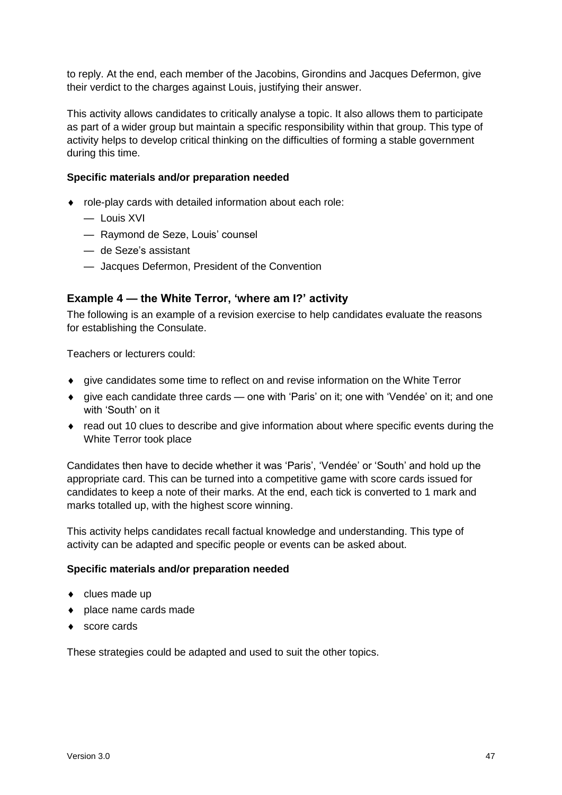to reply. At the end, each member of the Jacobins, Girondins and Jacques Defermon, give their verdict to the charges against Louis, justifying their answer.

This activity allows candidates to critically analyse a topic. It also allows them to participate as part of a wider group but maintain a specific responsibility within that group. This type of activity helps to develop critical thinking on the difficulties of forming a stable government during this time.

#### **Specific materials and/or preparation needed**

- role-play cards with detailed information about each role:
	- Louis XVI
	- Raymond de Seze, Louis' counsel
	- de Seze's assistant
	- Jacques Defermon, President of the Convention

#### **Example 4 — the White Terror, 'where am I?' activity**

The following is an example of a revision exercise to help candidates evaluate the reasons for establishing the Consulate.

Teachers or lecturers could:

- give candidates some time to reflect on and revise information on the White Terror
- give each candidate three cards one with 'Paris' on it; one with 'Vendée' on it; and one with 'South' on it
- read out 10 clues to describe and give information about where specific events during the White Terror took place

Candidates then have to decide whether it was 'Paris', 'Vendée' or 'South' and hold up the appropriate card. This can be turned into a competitive game with score cards issued for candidates to keep a note of their marks. At the end, each tick is converted to 1 mark and marks totalled up, with the highest score winning.

This activity helps candidates recall factual knowledge and understanding. This type of activity can be adapted and specific people or events can be asked about.

#### **Specific materials and/or preparation needed**

- $\bullet$  clues made up
- place name cards made
- ◆ score cards

These strategies could be adapted and used to suit the other topics.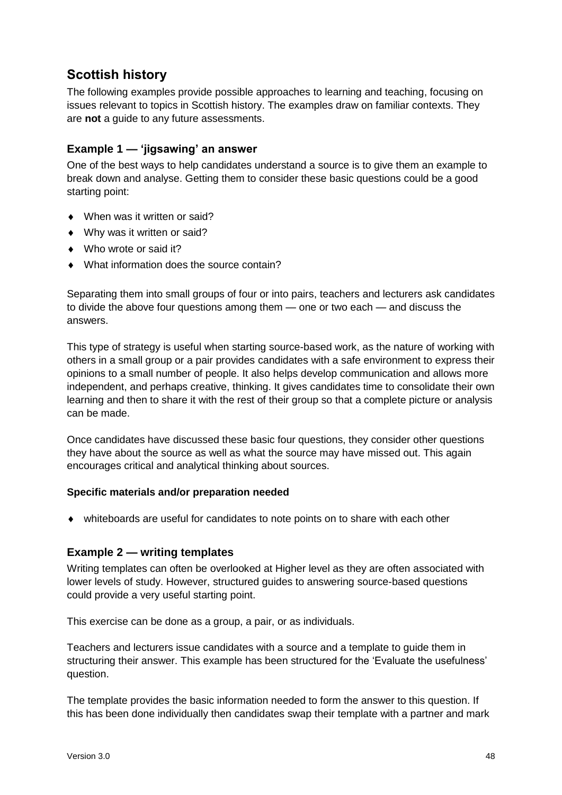### **Scottish history**

The following examples provide possible approaches to learning and teaching, focusing on issues relevant to topics in Scottish history. The examples draw on familiar contexts. They are **not** a guide to any future assessments.

#### **Example 1 — 'jigsawing' an answer**

One of the best ways to help candidates understand a source is to give them an example to break down and analyse. Getting them to consider these basic questions could be a good starting point:

- ◆ When was it written or said?
- Why was it written or said?
- ◆ Who wrote or said it?
- What information does the source contain?

Separating them into small groups of four or into pairs, teachers and lecturers ask candidates to divide the above four questions among them — one or two each — and discuss the answers.

This type of strategy is useful when starting source-based work, as the nature of working with others in a small group or a pair provides candidates with a safe environment to express their opinions to a small number of people. It also helps develop communication and allows more independent, and perhaps creative, thinking. It gives candidates time to consolidate their own learning and then to share it with the rest of their group so that a complete picture or analysis can be made.

Once candidates have discussed these basic four questions, they consider other questions they have about the source as well as what the source may have missed out. This again encourages critical and analytical thinking about sources.

#### **Specific materials and/or preparation needed**

whiteboards are useful for candidates to note points on to share with each other

#### **Example 2 — writing templates**

Writing templates can often be overlooked at Higher level as they are often associated with lower levels of study. However, structured guides to answering source-based questions could provide a very useful starting point.

This exercise can be done as a group, a pair, or as individuals.

Teachers and lecturers issue candidates with a source and a template to guide them in structuring their answer. This example has been structured for the 'Evaluate the usefulness' question.

The template provides the basic information needed to form the answer to this question. If this has been done individually then candidates swap their template with a partner and mark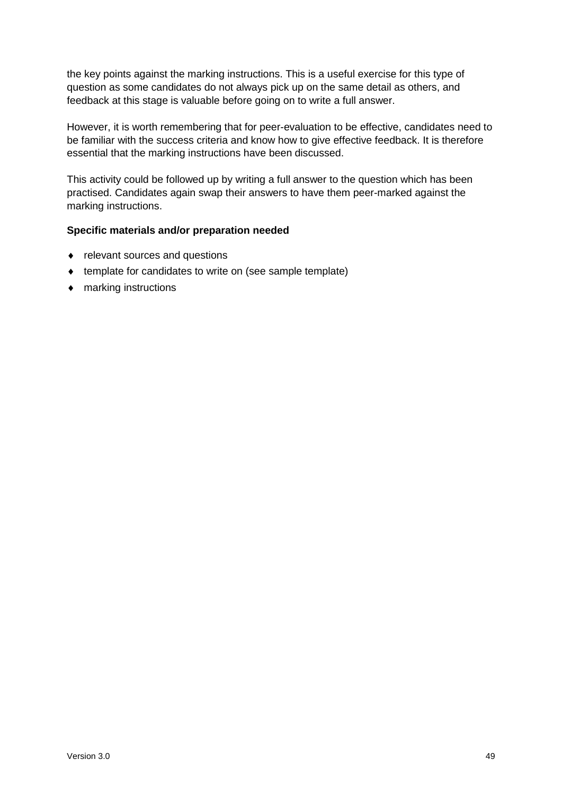the key points against the marking instructions. This is a useful exercise for this type of question as some candidates do not always pick up on the same detail as others, and feedback at this stage is valuable before going on to write a full answer.

However, it is worth remembering that for peer-evaluation to be effective, candidates need to be familiar with the success criteria and know how to give effective feedback. It is therefore essential that the marking instructions have been discussed.

This activity could be followed up by writing a full answer to the question which has been practised. Candidates again swap their answers to have them peer-marked against the marking instructions.

#### **Specific materials and/or preparation needed**

- relevant sources and questions
- ◆ template for candidates to write on (see sample template)
- marking instructions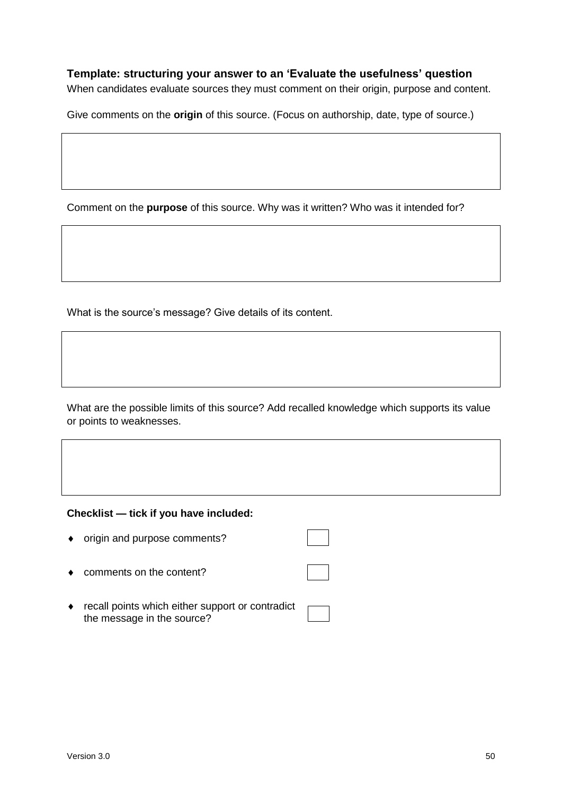#### **Template: structuring your answer to an 'Evaluate the usefulness' question**

When candidates evaluate sources they must comment on their origin, purpose and content.

Give comments on the **origin** of this source. (Focus on authorship, date, type of source.)

Comment on the **purpose** of this source. Why was it written? Who was it intended for?

What is the source's message? Give details of its content.

What are the possible limits of this source? Add recalled knowledge which supports its value or points to weaknesses.

#### **Checklist — tick if you have included:**

- origin and purpose comments?
- ◆ comments on the content?
- recall points which either support or contradict the message in the source?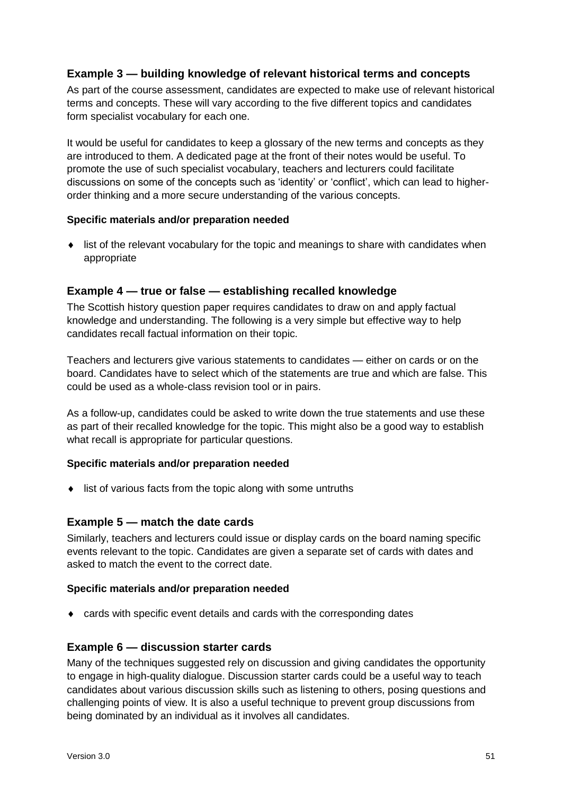#### **Example 3 — building knowledge of relevant historical terms and concepts**

As part of the course assessment, candidates are expected to make use of relevant historical terms and concepts. These will vary according to the five different topics and candidates form specialist vocabulary for each one.

It would be useful for candidates to keep a glossary of the new terms and concepts as they are introduced to them. A dedicated page at the front of their notes would be useful. To promote the use of such specialist vocabulary, teachers and lecturers could facilitate discussions on some of the concepts such as 'identity' or 'conflict', which can lead to higherorder thinking and a more secure understanding of the various concepts.

#### **Specific materials and/or preparation needed**

• list of the relevant vocabulary for the topic and meanings to share with candidates when appropriate

#### **Example 4 — true or false — establishing recalled knowledge**

The Scottish history question paper requires candidates to draw on and apply factual knowledge and understanding. The following is a very simple but effective way to help candidates recall factual information on their topic.

Teachers and lecturers give various statements to candidates — either on cards or on the board. Candidates have to select which of the statements are true and which are false. This could be used as a whole-class revision tool or in pairs.

As a follow-up, candidates could be asked to write down the true statements and use these as part of their recalled knowledge for the topic. This might also be a good way to establish what recall is appropriate for particular questions.

#### **Specific materials and/or preparation needed**

 $\bullet$  list of various facts from the topic along with some untruths

#### **Example 5 — match the date cards**

Similarly, teachers and lecturers could issue or display cards on the board naming specific events relevant to the topic. Candidates are given a separate set of cards with dates and asked to match the event to the correct date.

#### **Specific materials and/or preparation needed**

cards with specific event details and cards with the corresponding dates

#### **Example 6 — discussion starter cards**

Many of the techniques suggested rely on discussion and giving candidates the opportunity to engage in high-quality dialogue. Discussion starter cards could be a useful way to teach candidates about various discussion skills such as listening to others, posing questions and challenging points of view. It is also a useful technique to prevent group discussions from being dominated by an individual as it involves all candidates.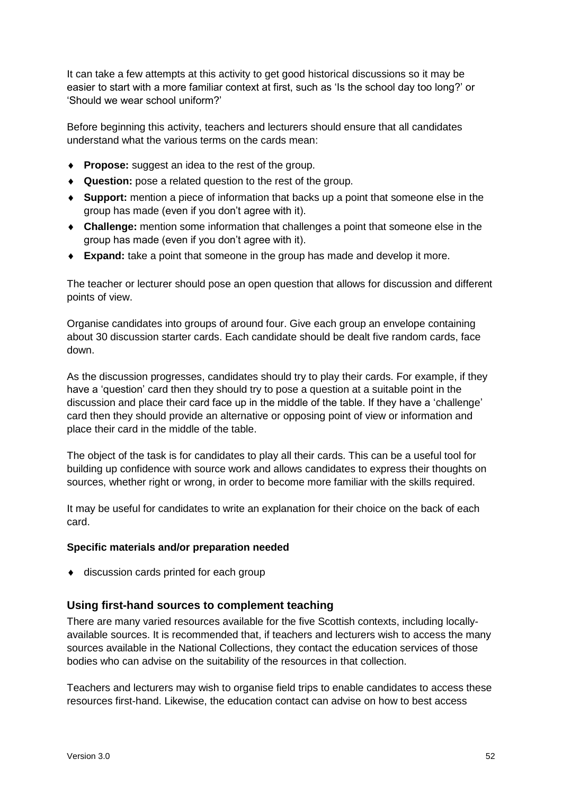It can take a few attempts at this activity to get good historical discussions so it may be easier to start with a more familiar context at first, such as 'Is the school day too long?' or 'Should we wear school uniform?'

Before beginning this activity, teachers and lecturers should ensure that all candidates understand what the various terms on the cards mean:

- **Propose:** suggest an idea to the rest of the group.
- **Question:** pose a related question to the rest of the group.
- **Support:** mention a piece of information that backs up a point that someone else in the group has made (even if you don't agree with it).
- **Challenge:** mention some information that challenges a point that someone else in the group has made (even if you don't agree with it).
- **Expand:** take a point that someone in the group has made and develop it more.

The teacher or lecturer should pose an open question that allows for discussion and different points of view.

Organise candidates into groups of around four. Give each group an envelope containing about 30 discussion starter cards. Each candidate should be dealt five random cards, face down.

As the discussion progresses, candidates should try to play their cards. For example, if they have a 'question' card then they should try to pose a question at a suitable point in the discussion and place their card face up in the middle of the table. If they have a 'challenge' card then they should provide an alternative or opposing point of view or information and place their card in the middle of the table.

The object of the task is for candidates to play all their cards. This can be a useful tool for building up confidence with source work and allows candidates to express their thoughts on sources, whether right or wrong, in order to become more familiar with the skills required.

It may be useful for candidates to write an explanation for their choice on the back of each card.

#### **Specific materials and/or preparation needed**

 $\bullet$  discussion cards printed for each group

#### **Using first-hand sources to complement teaching**

There are many varied resources available for the five Scottish contexts, including locallyavailable sources. It is recommended that, if teachers and lecturers wish to access the many sources available in the National Collections, they contact the education services of those bodies who can advise on the suitability of the resources in that collection.

Teachers and lecturers may wish to organise field trips to enable candidates to access these resources first-hand. Likewise, the education contact can advise on how to best access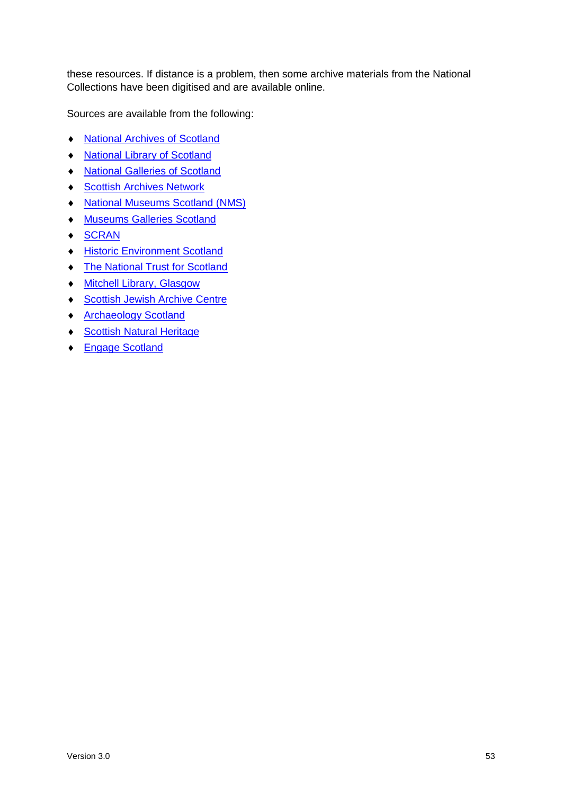these resources. If distance is a problem, then some archive materials from the National Collections have been digitised and are available online.

Sources are available from the following:

- ◆ [National Archives of Scotland](http://www.nas.gov.uk/)
- ◆ [National Library of Scotland](http://www.nls.uk/)
- [National Galleries of Scotland](http://www.nationalgalleries.org/)
- ◆ [Scottish Archives Network](http://www.scan.org.uk/)
- ◆ [National Museums Scotland](http://www.nms.ac.uk/) (NMS)
- **[Museums Galleries Scotland](http://www.museumsgalleriesscotland.org.uk/)**
- $\triangleleft$  [SCRAN](http://www.scran.ac.uk/)
- **+ Historic Environment Scotland**
- [The National Trust for Scotland](http://www.nts.org.uk/Home)
- [Mitchell Library, Glasgow](http://www.mitchelllibrary.org/virtualmitchell)
- ◆ [Scottish Jewish Archive Centre](http://www.sjac.org.uk/)
- ◆ [Archaeology Scotland](http://www.archaeologyscotland.org.uk/)
- ◆ [Scottish Natural Heritage](https://www.nature.scot/)
- ◆ [Engage Scotland](http://www.engage.org/projects/scotland.aspx)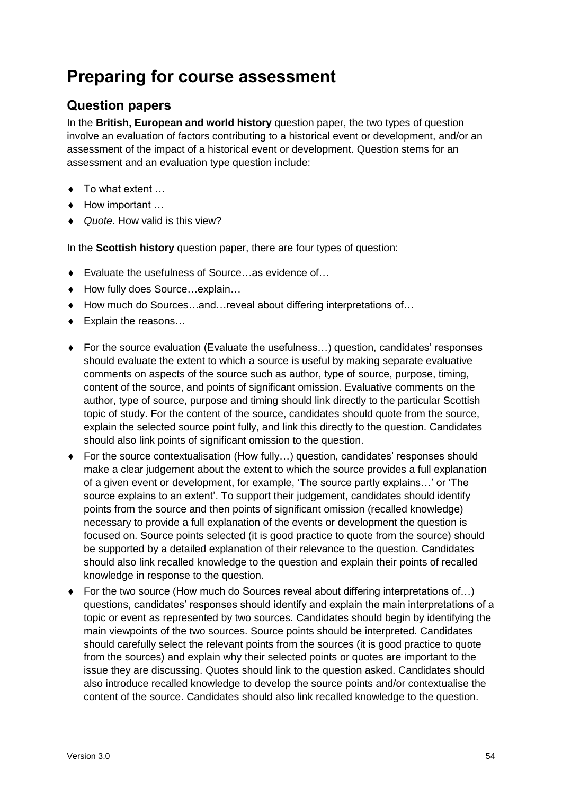### <span id="page-55-0"></span>**Preparing for course assessment**

### **Question papers**

In the **British, European and world history** question paper, the two types of question involve an evaluation of factors contributing to a historical event or development, and/or an assessment of the impact of a historical event or development. Question stems for an assessment and an evaluation type question include:

- ◆ To what extent ...
- ◆ How important …
- *Quote*. How valid is this view?

In the **Scottish history** question paper, there are four types of question:

- Evaluate the usefulness of Source…as evidence of…
- ◆ How fully does Source…explain…
- ◆ How much do Sources…and…reveal about differing interpretations of…
- ◆ Explain the reasons...
- ◆ For the source evaluation (Evaluate the usefulness...) question, candidates' responses should evaluate the extent to which a source is useful by making separate evaluative comments on aspects of the source such as author, type of source, purpose, timing, content of the source, and points of significant omission. Evaluative comments on the author, type of source, purpose and timing should link directly to the particular Scottish topic of study. For the content of the source, candidates should quote from the source, explain the selected source point fully, and link this directly to the question. Candidates should also link points of significant omission to the question.
- For the source contextualisation (How fully…) question, candidates' responses should make a clear judgement about the extent to which the source provides a full explanation of a given event or development, for example, 'The source partly explains…' or 'The source explains to an extent'. To support their judgement, candidates should identify points from the source and then points of significant omission (recalled knowledge) necessary to provide a full explanation of the events or development the question is focused on. Source points selected (it is good practice to quote from the source) should be supported by a detailed explanation of their relevance to the question. Candidates should also link recalled knowledge to the question and explain their points of recalled knowledge in response to the question.
- ◆ For the two source (How much do Sources reveal about differing interpretations of...) questions, candidates' responses should identify and explain the main interpretations of a topic or event as represented by two sources. Candidates should begin by identifying the main viewpoints of the two sources. Source points should be interpreted. Candidates should carefully select the relevant points from the sources (it is good practice to quote from the sources) and explain why their selected points or quotes are important to the issue they are discussing. Quotes should link to the question asked. Candidates should also introduce recalled knowledge to develop the source points and/or contextualise the content of the source. Candidates should also link recalled knowledge to the question.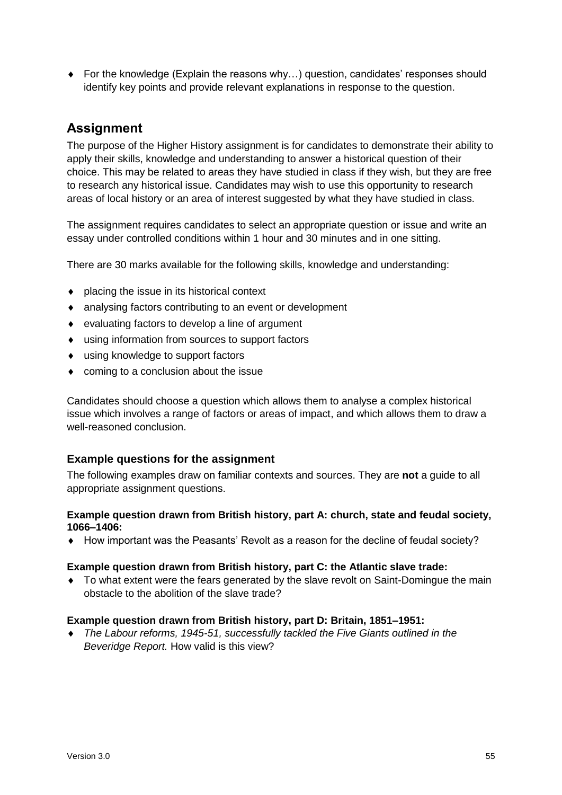For the knowledge (Explain the reasons why…) question, candidates' responses should identify key points and provide relevant explanations in response to the question.

#### **Assignment**

The purpose of the Higher History assignment is for candidates to demonstrate their ability to apply their skills, knowledge and understanding to answer a historical question of their choice. This may be related to areas they have studied in class if they wish, but they are free to research any historical issue. Candidates may wish to use this opportunity to research areas of local history or an area of interest suggested by what they have studied in class.

The assignment requires candidates to select an appropriate question or issue and write an essay under controlled conditions within 1 hour and 30 minutes and in one sitting.

There are 30 marks available for the following skills, knowledge and understanding:

- ◆ placing the issue in its historical context
- analysing factors contributing to an event or development
- evaluating factors to develop a line of argument
- using information from sources to support factors
- using knowledge to support factors
- coming to a conclusion about the issue

Candidates should choose a question which allows them to analyse a complex historical issue which involves a range of factors or areas of impact, and which allows them to draw a well-reasoned conclusion.

#### **Example questions for the assignment**

The following examples draw on familiar contexts and sources. They are **not** a guide to all appropriate assignment questions.

#### **Example question drawn from British history, part A: church, state and feudal society, 1066–1406:**

How important was the Peasants' Revolt as a reason for the decline of feudal society?

#### **Example question drawn from British history, part C: the Atlantic slave trade:**

• To what extent were the fears generated by the slave revolt on Saint-Domingue the main obstacle to the abolition of the slave trade?

#### **Example question drawn from British history, part D: Britain, 1851–1951:**

 *The Labour reforms, 1945-51, successfully tackled the Five Giants outlined in the Beveridge Report.* How valid is this view?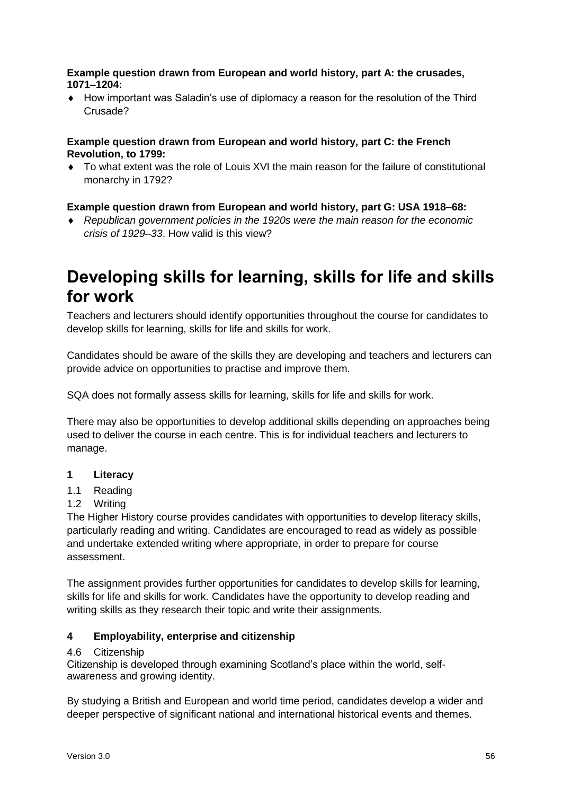#### **Example question drawn from European and world history, part A: the crusades, 1071–1204:**

 How important was Saladin's use of diplomacy a reason for the resolution of the Third Crusade?

#### **Example question drawn from European and world history, part C: the French Revolution, to 1799:**

 To what extent was the role of Louis XVI the main reason for the failure of constitutional monarchy in 1792?

#### **Example question drawn from European and world history, part G: USA 1918–68:**

 *Republican government policies in the 1920s were the main reason for the economic crisis of 1929–33*. How valid is this view?

### <span id="page-57-0"></span>**Developing skills for learning, skills for life and skills for work**

Teachers and lecturers should identify opportunities throughout the course for candidates to develop skills for learning, skills for life and skills for work.

Candidates should be aware of the skills they are developing and teachers and lecturers can provide advice on opportunities to practise and improve them.

SQA does not formally assess skills for learning, skills for life and skills for work.

There may also be opportunities to develop additional skills depending on approaches being used to deliver the course in each centre. This is for individual teachers and lecturers to manage.

#### **1 Literacy**

- 1.1 Reading
- 1.2 Writing

The Higher History course provides candidates with opportunities to develop literacy skills, particularly reading and writing. Candidates are encouraged to read as widely as possible and undertake extended writing where appropriate, in order to prepare for course assessment.

The assignment provides further opportunities for candidates to develop skills for learning, skills for life and skills for work. Candidates have the opportunity to develop reading and writing skills as they research their topic and write their assignments.

#### **4 Employability, enterprise and citizenship**

#### 4.6 Citizenship

Citizenship is developed through examining Scotland's place within the world, selfawareness and growing identity.

By studying a British and European and world time period, candidates develop a wider and deeper perspective of significant national and international historical events and themes.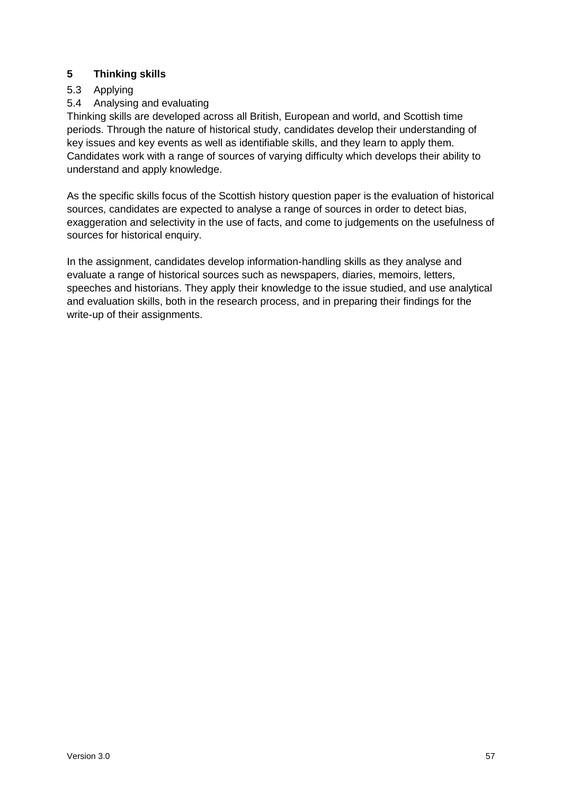#### **5 Thinking skills**

#### 5.3 Applying

#### 5.4 Analysing and evaluating

Thinking skills are developed across all British, European and world, and Scottish time periods. Through the nature of historical study, candidates develop their understanding of key issues and key events as well as identifiable skills, and they learn to apply them. Candidates work with a range of sources of varying difficulty which develops their ability to understand and apply knowledge.

As the specific skills focus of the Scottish history question paper is the evaluation of historical sources, candidates are expected to analyse a range of sources in order to detect bias, exaggeration and selectivity in the use of facts, and come to judgements on the usefulness of sources for historical enquiry.

In the assignment, candidates develop information-handling skills as they analyse and evaluate a range of historical sources such as newspapers, diaries, memoirs, letters, speeches and historians. They apply their knowledge to the issue studied, and use analytical and evaluation skills, both in the research process, and in preparing their findings for the write-up of their assignments.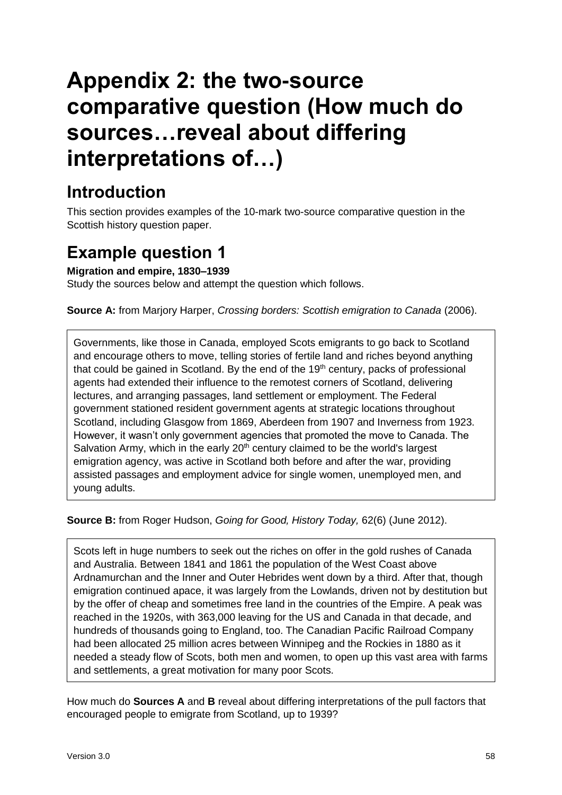# <span id="page-59-0"></span>**Appendix 2: the two-source comparative question (How much do sources…reveal about differing interpretations of…)**

### **Introduction**

This section provides examples of the 10-mark two-source comparative question in the Scottish history question paper.

### <span id="page-59-1"></span>**Example question 1**

**Migration and empire, 1830–1939**

Study the sources below and attempt the question which follows.

**Source A:** from Marjory Harper, *Crossing borders: Scottish emigration to Canada* (2006).

Governments, like those in Canada, employed Scots emigrants to go back to Scotland and encourage others to move, telling stories of fertile land and riches beyond anything that could be gained in Scotland. By the end of the  $19<sup>th</sup>$  century, packs of professional agents had extended their influence to the remotest corners of Scotland, delivering lectures, and arranging passages, land settlement or employment. The Federal government stationed resident government agents at strategic locations throughout Scotland, including Glasgow from 1869, Aberdeen from 1907 and Inverness from 1923. However, it wasn't only government agencies that promoted the move to Canada. The Salvation Army, which in the early  $20<sup>th</sup>$  century claimed to be the world's largest emigration agency, was active in Scotland both before and after the war, providing assisted passages and employment advice for single women, unemployed men, and young adults.

**Source B:** from Roger Hudson, *Going for Good, History Today,* 62(6) (June 2012).

Scots left in huge numbers to seek out the riches on offer in the gold rushes of Canada and Australia. Between 1841 and 1861 the population of the West Coast above Ardnamurchan and the Inner and Outer Hebrides went down by a third. After that, though emigration continued apace, it was largely from the Lowlands, driven not by destitution but by the offer of cheap and sometimes free land in the countries of the Empire. A peak was reached in the 1920s, with 363,000 leaving for the US and Canada in that decade, and hundreds of thousands going to England, too. The Canadian Pacific Railroad Company had been allocated 25 million acres between Winnipeg and the Rockies in 1880 as it needed a steady flow of Scots, both men and women, to open up this vast area with farms and settlements, a great motivation for many poor Scots.

How much do **Sources A** and **B** reveal about differing interpretations of the pull factors that encouraged people to emigrate from Scotland, up to 1939?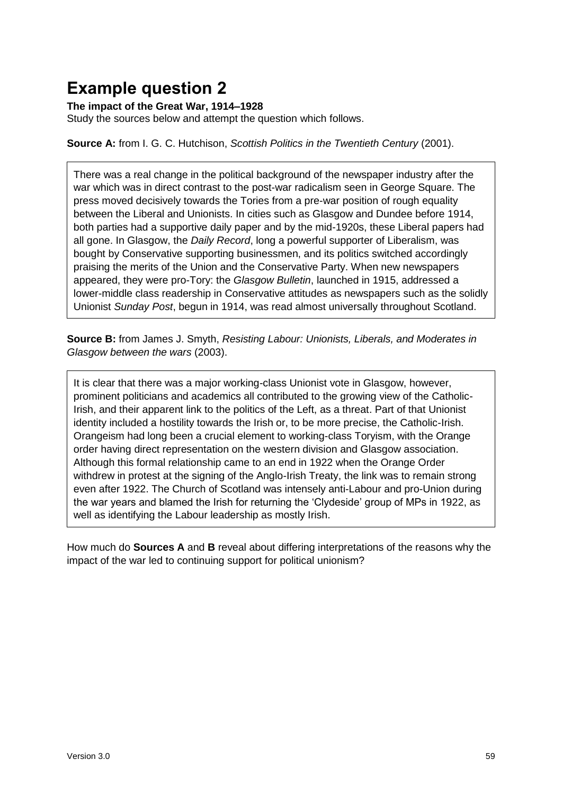### <span id="page-60-0"></span>**Example question 2**

#### **The impact of the Great War, 1914–1928**

Study the sources below and attempt the question which follows.

**Source A:** from I. G. C. Hutchison, *Scottish Politics in the Twentieth Century* (2001).

There was a real change in the political background of the newspaper industry after the war which was in direct contrast to the post-war radicalism seen in George Square. The press moved decisively towards the Tories from a pre-war position of rough equality between the Liberal and Unionists. In cities such as Glasgow and Dundee before 1914, both parties had a supportive daily paper and by the mid-1920s, these Liberal papers had all gone. In Glasgow, the *Daily Record*, long a powerful supporter of Liberalism, was bought by Conservative supporting businessmen, and its politics switched accordingly praising the merits of the Union and the Conservative Party. When new newspapers appeared, they were pro-Tory: the *Glasgow Bulletin*, launched in 1915, addressed a lower-middle class readership in Conservative attitudes as newspapers such as the solidly Unionist *Sunday Post*, begun in 1914, was read almost universally throughout Scotland.

**Source B:** from James J. Smyth, *Resisting Labour: Unionists, Liberals, and Moderates in Glasgow between the wars* (2003).

It is clear that there was a major working-class Unionist vote in Glasgow, however, prominent politicians and academics all contributed to the growing view of the Catholic-Irish, and their apparent link to the politics of the Left, as a threat. Part of that Unionist identity included a hostility towards the Irish or, to be more precise, the Catholic-Irish. Orangeism had long been a crucial element to working-class Toryism, with the Orange order having direct representation on the western division and Glasgow association. Although this formal relationship came to an end in 1922 when the Orange Order withdrew in protest at the signing of the Anglo-Irish Treaty, the link was to remain strong even after 1922. The Church of Scotland was intensely anti-Labour and pro-Union during the war years and blamed the Irish for returning the 'Clydeside' group of MPs in 1922, as well as identifying the Labour leadership as mostly Irish.

How much do **Sources A** and **B** reveal about differing interpretations of the reasons why the impact of the war led to continuing support for political unionism?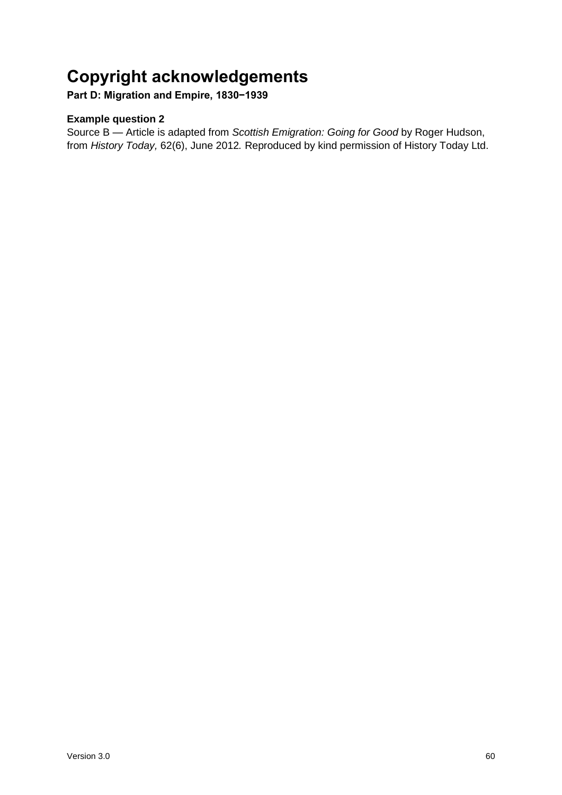### <span id="page-61-0"></span>**Copyright acknowledgements**

**Part D: Migration and Empire, 1830−1939**

#### **Example question 2**

Source B — Article is adapted from *Scottish Emigration: Going for Good* by Roger Hudson, from *History Today,* 62(6), June 2012*.* Reproduced by kind permission of History Today Ltd.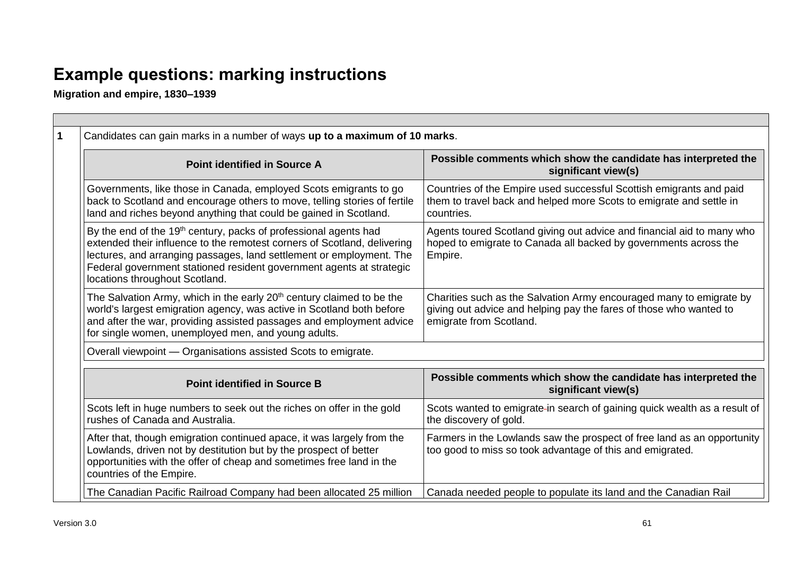## **Example questions: marking instructions**

**Migration and empire, 1830–1939**

 $\overline{\phantom{a}}$ 

<span id="page-62-0"></span>

| Candidates can gain marks in a number of ways up to a maximum of 10 marks.                                                                                                                                                                                                                                                                                                                                                                                                                          |                                                                                                                                                                      |  |
|-----------------------------------------------------------------------------------------------------------------------------------------------------------------------------------------------------------------------------------------------------------------------------------------------------------------------------------------------------------------------------------------------------------------------------------------------------------------------------------------------------|----------------------------------------------------------------------------------------------------------------------------------------------------------------------|--|
| <b>Point identified in Source A</b>                                                                                                                                                                                                                                                                                                                                                                                                                                                                 | Possible comments which show the candidate has interpreted the<br>significant view(s)                                                                                |  |
| Governments, like those in Canada, employed Scots emigrants to go<br>back to Scotland and encourage others to move, telling stories of fertile<br>land and riches beyond anything that could be gained in Scotland.                                                                                                                                                                                                                                                                                 | Countries of the Empire used successful Scottish emigrants and paid<br>them to travel back and helped more Scots to emigrate and settle in<br>countries.             |  |
| By the end of the 19 <sup>th</sup> century, packs of professional agents had<br>Agents toured Scotland giving out advice and financial aid to many who<br>extended their influence to the remotest corners of Scotland, delivering<br>hoped to emigrate to Canada all backed by governments across the<br>lectures, and arranging passages, land settlement or employment. The<br>Empire.<br>Federal government stationed resident government agents at strategic<br>locations throughout Scotland. |                                                                                                                                                                      |  |
| The Salvation Army, which in the early 20 <sup>th</sup> century claimed to be the<br>world's largest emigration agency, was active in Scotland both before<br>and after the war, providing assisted passages and employment advice<br>for single women, unemployed men, and young adults.                                                                                                                                                                                                           | Charities such as the Salvation Army encouraged many to emigrate by<br>giving out advice and helping pay the fares of those who wanted to<br>emigrate from Scotland. |  |
| Overall viewpoint - Organisations assisted Scots to emigrate.                                                                                                                                                                                                                                                                                                                                                                                                                                       |                                                                                                                                                                      |  |
| <b>Point identified in Source B</b>                                                                                                                                                                                                                                                                                                                                                                                                                                                                 | Possible comments which show the candidate has interpreted the<br>significant view(s)                                                                                |  |
| Scots left in huge numbers to seek out the riches on offer in the gold<br>rushes of Canada and Australia.                                                                                                                                                                                                                                                                                                                                                                                           | Scots wanted to emigrate-in search of gaining quick wealth as a result of<br>the discovery of gold.                                                                  |  |
| After that, though emigration continued apace, it was largely from the<br>Lowlands, driven not by destitution but by the prospect of better<br>opportunities with the offer of cheap and sometimes free land in the<br>countries of the Empire.                                                                                                                                                                                                                                                     | Farmers in the Lowlands saw the prospect of free land as an opportunity<br>too good to miss so took advantage of this and emigrated.                                 |  |
| The Canadian Pacific Railroad Company had been allocated 25 million                                                                                                                                                                                                                                                                                                                                                                                                                                 | Canada needed people to populate its land and the Canadian Rail                                                                                                      |  |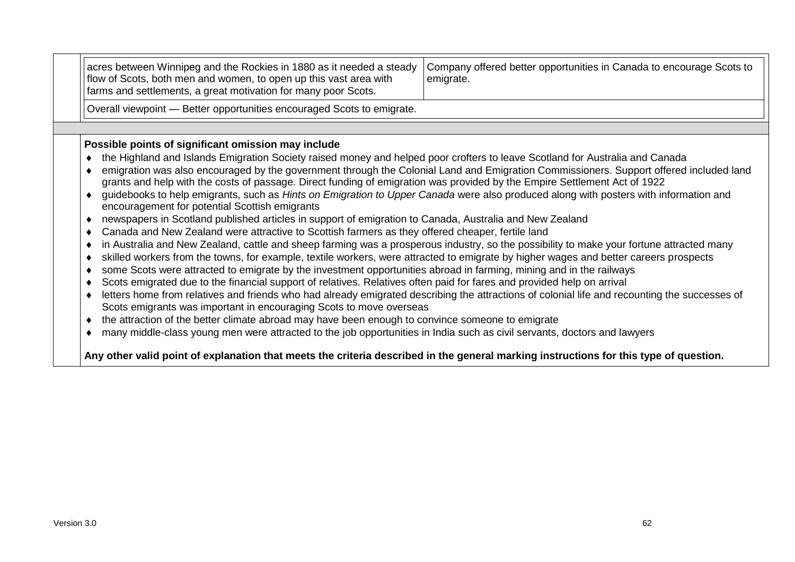| acres between Winnipeg and the Rockies in 1880 as it needed a steady<br>flow of Scots, both men and women, to open up this vast area with<br>farms and settlements, a great motivation for many poor Scots.                                                                                                                                                                                                                                                                                                                                                                                                                                                                                                                                                                                                                                                                                                                                                                                                                                                                                                                                                                                                                                                                                                                          | Company offered better opportunities in Canada to encourage Scots to<br>emigrate.                                                                                                                                                                                                                                                                                                                                                                                                                                                                                           |
|--------------------------------------------------------------------------------------------------------------------------------------------------------------------------------------------------------------------------------------------------------------------------------------------------------------------------------------------------------------------------------------------------------------------------------------------------------------------------------------------------------------------------------------------------------------------------------------------------------------------------------------------------------------------------------------------------------------------------------------------------------------------------------------------------------------------------------------------------------------------------------------------------------------------------------------------------------------------------------------------------------------------------------------------------------------------------------------------------------------------------------------------------------------------------------------------------------------------------------------------------------------------------------------------------------------------------------------|-----------------------------------------------------------------------------------------------------------------------------------------------------------------------------------------------------------------------------------------------------------------------------------------------------------------------------------------------------------------------------------------------------------------------------------------------------------------------------------------------------------------------------------------------------------------------------|
| Overall viewpoint - Better opportunities encouraged Scots to emigrate.                                                                                                                                                                                                                                                                                                                                                                                                                                                                                                                                                                                                                                                                                                                                                                                                                                                                                                                                                                                                                                                                                                                                                                                                                                                               |                                                                                                                                                                                                                                                                                                                                                                                                                                                                                                                                                                             |
|                                                                                                                                                                                                                                                                                                                                                                                                                                                                                                                                                                                                                                                                                                                                                                                                                                                                                                                                                                                                                                                                                                                                                                                                                                                                                                                                      |                                                                                                                                                                                                                                                                                                                                                                                                                                                                                                                                                                             |
| Possible points of significant omission may include<br>the Highland and Islands Emigration Society raised money and helped poor crofters to leave Scotland for Australia and Canada<br>٠<br>grants and help with the costs of passage. Direct funding of emigration was provided by the Empire Settlement Act of 1922<br>encouragement for potential Scottish emigrants<br>newspapers in Scotland published articles in support of emigration to Canada, Australia and New Zealand<br>٠<br>Canada and New Zealand were attractive to Scottish farmers as they offered cheaper, fertile land<br>٠<br>٠<br>skilled workers from the towns, for example, textile workers, were attracted to emigrate by higher wages and better careers prospects<br>٠<br>some Scots were attracted to emigrate by the investment opportunities abroad in farming, mining and in the railways<br>٠<br>Scots emigrated due to the financial support of relatives. Relatives often paid for fares and provided help on arrival<br>٠<br>٠<br>Scots emigrants was important in encouraging Scots to move overseas<br>the attraction of the better climate abroad may have been enough to convince someone to emigrate<br>٠<br>many middle-class young men were attracted to the job opportunities in India such as civil servants, doctors and lawyers<br>٠ | emigration was also encouraged by the government through the Colonial Land and Emigration Commissioners. Support offered included land<br>guidebooks to help emigrants, such as Hints on Emigration to Upper Canada were also produced along with posters with information and<br>in Australia and New Zealand, cattle and sheep farming was a prosperous industry, so the possibility to make your fortune attracted many<br>letters home from relatives and friends who had already emigrated describing the attractions of colonial life and recounting the successes of |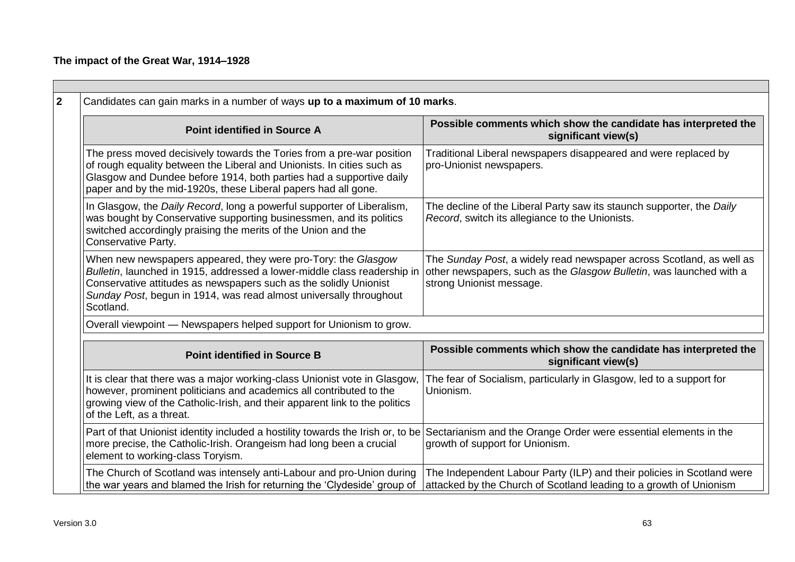#### **The impact of the Great War, 1914–1928**

| <b>Point identified in Source A</b>                                                                                                                                                                                                                                                               | Possible comments which show the candidate has interpreted the<br>significant view(s)                                                                                   |  |
|---------------------------------------------------------------------------------------------------------------------------------------------------------------------------------------------------------------------------------------------------------------------------------------------------|-------------------------------------------------------------------------------------------------------------------------------------------------------------------------|--|
| The press moved decisively towards the Tories from a pre-war position<br>of rough equality between the Liberal and Unionists. In cities such as<br>Glasgow and Dundee before 1914, both parties had a supportive daily<br>paper and by the mid-1920s, these Liberal papers had all gone.          | Traditional Liberal newspapers disappeared and were replaced by<br>pro-Unionist newspapers.                                                                             |  |
| In Glasgow, the Daily Record, long a powerful supporter of Liberalism,<br>was bought by Conservative supporting businessmen, and its politics<br>switched accordingly praising the merits of the Union and the<br>Conservative Party.                                                             | The decline of the Liberal Party saw its staunch supporter, the Daily<br>Record, switch its allegiance to the Unionists.                                                |  |
| When new newspapers appeared, they were pro-Tory: the Glasgow<br>Bulletin, launched in 1915, addressed a lower-middle class readership in<br>Conservative attitudes as newspapers such as the solidly Unionist<br>Sunday Post, begun in 1914, was read almost universally throughout<br>Scotland. | The Sunday Post, a widely read newspaper across Scotland, as well as<br>other newspapers, such as the Glasgow Bulletin, was launched with a<br>strong Unionist message. |  |
| Overall viewpoint - Newspapers helped support for Unionism to grow.                                                                                                                                                                                                                               |                                                                                                                                                                         |  |
| <b>Point identified in Source B</b>                                                                                                                                                                                                                                                               | Possible comments which show the candidate has interpreted the<br>significant view(s)                                                                                   |  |
| It is clear that there was a major working-class Unionist vote in Glasgow,<br>however, prominent politicians and academics all contributed to the<br>growing view of the Catholic-Irish, and their apparent link to the politics<br>of the Left, as a threat.                                     | The fear of Socialism, particularly in Glasgow, led to a support for<br>Unionism.                                                                                       |  |
| Part of that Unionist identity included a hostility towards the Irish or, to be Sectarianism and the Orange Order were essential elements in the<br>more precise, the Catholic-Irish. Orangeism had long been a crucial<br>element to working-class Toryism.                                      | growth of support for Unionism.                                                                                                                                         |  |
| The Church of Scotland was intensely anti-Labour and pro-Union during<br>the war years and blamed the Irish for returning the 'Clydeside' group of                                                                                                                                                | The Independent Labour Party (ILP) and their policies in Scotland were<br>attacked by the Church of Scotland leading to a growth of Unionism                            |  |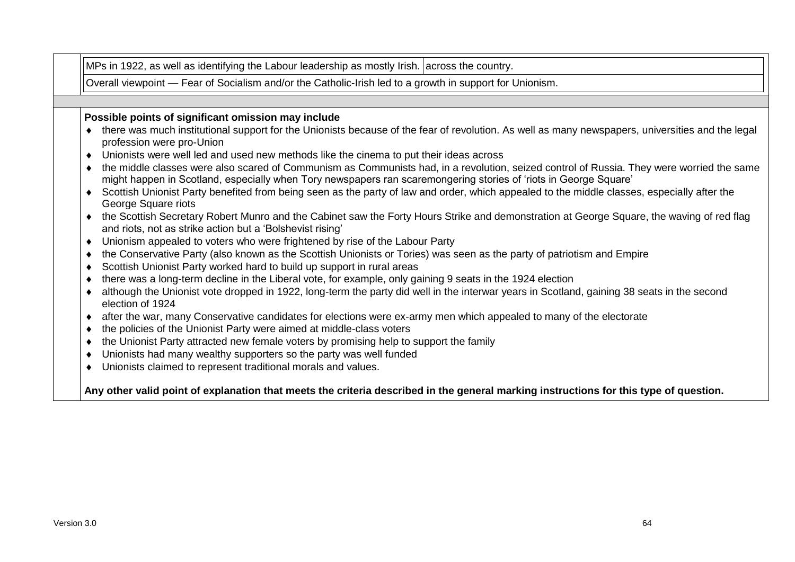Overall viewpoint — Fear of Socialism and/or the Catholic-Irish led to a growth in support for Unionism.

#### **Possible points of significant omission may include**

- ◆ there was much institutional support for the Unionists because of the fear of revolution. As well as many newspapers, universities and the legal profession were pro-Union
- Unionists were well led and used new methods like the cinema to put their ideas across
- the middle classes were also scared of Communism as Communists had, in a revolution, seized control of Russia. They were worried the same might happen in Scotland, especially when Tory newspapers ran scaremongering stories of 'riots in George Square'
- Scottish Unionist Party benefited from being seen as the party of law and order, which appealed to the middle classes, especially after the George Square riots
- the Scottish Secretary Robert Munro and the Cabinet saw the Forty Hours Strike and demonstration at George Square, the waving of red flag and riots, not as strike action but a 'Bolshevist rising'
- Unionism appealed to voters who were frightened by rise of the Labour Party
- the Conservative Party (also known as the Scottish Unionists or Tories) was seen as the party of patriotism and Empire
- Scottish Unionist Party worked hard to build up support in rural areas
- there was a long-term decline in the Liberal vote, for example, only gaining 9 seats in the 1924 election
- although the Unionist vote dropped in 1922, long-term the party did well in the interwar years in Scotland, gaining 38 seats in the second election of 1924
- after the war, many Conservative candidates for elections were ex-army men which appealed to many of the electorate
- the policies of the Unionist Party were aimed at middle-class voters
- the Unionist Party attracted new female voters by promising help to support the family
- Unionists had many wealthy supporters so the party was well funded
- Unionists claimed to represent traditional morals and values.

**Any other valid point of explanation that meets the criteria described in the general marking instructions for this type of question.**